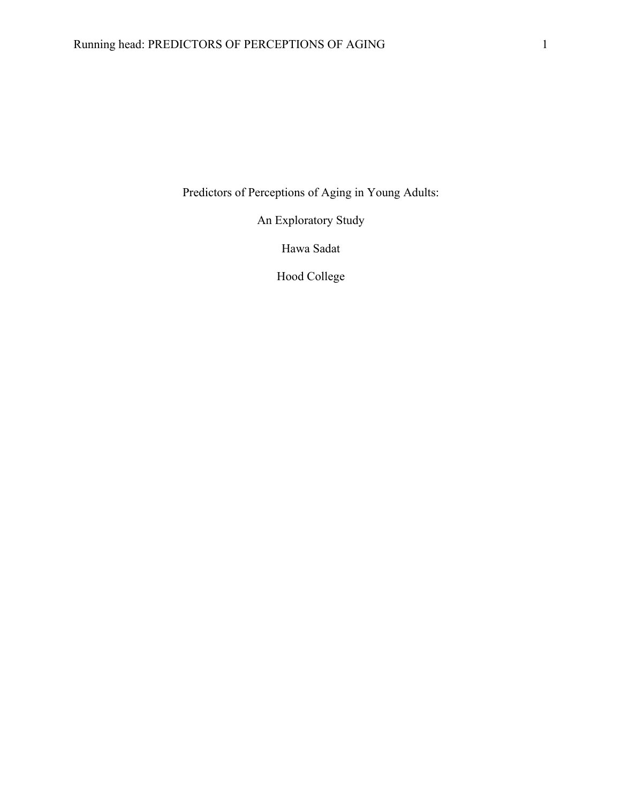Predictors of Perceptions of Aging in Young Adults:

An Exploratory Study

Hawa Sadat

Hood College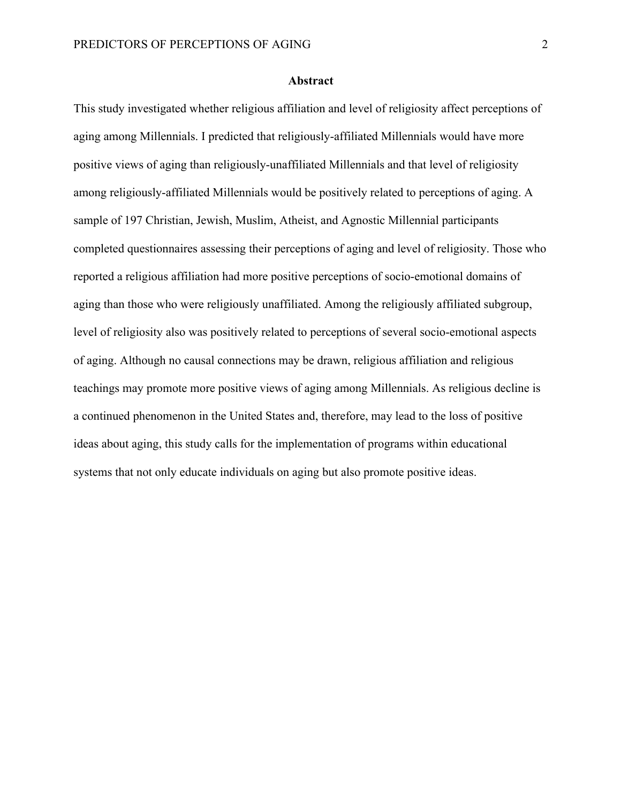#### **Abstract**

This study investigated whether religious affiliation and level of religiosity affect perceptions of aging among Millennials. I predicted that religiously-affiliated Millennials would have more positive views of aging than religiously-unaffiliated Millennials and that level of religiosity among religiously-affiliated Millennials would be positively related to perceptions of aging. A sample of 197 Christian, Jewish, Muslim, Atheist, and Agnostic Millennial participants completed questionnaires assessing their perceptions of aging and level of religiosity. Those who reported a religious affiliation had more positive perceptions of socio-emotional domains of aging than those who were religiously unaffiliated. Among the religiously affiliated subgroup, level of religiosity also was positively related to perceptions of several socio-emotional aspects of aging. Although no causal connections may be drawn, religious affiliation and religious teachings may promote more positive views of aging among Millennials. As religious decline is a continued phenomenon in the United States and, therefore, may lead to the loss of positive ideas about aging, this study calls for the implementation of programs within educational systems that not only educate individuals on aging but also promote positive ideas.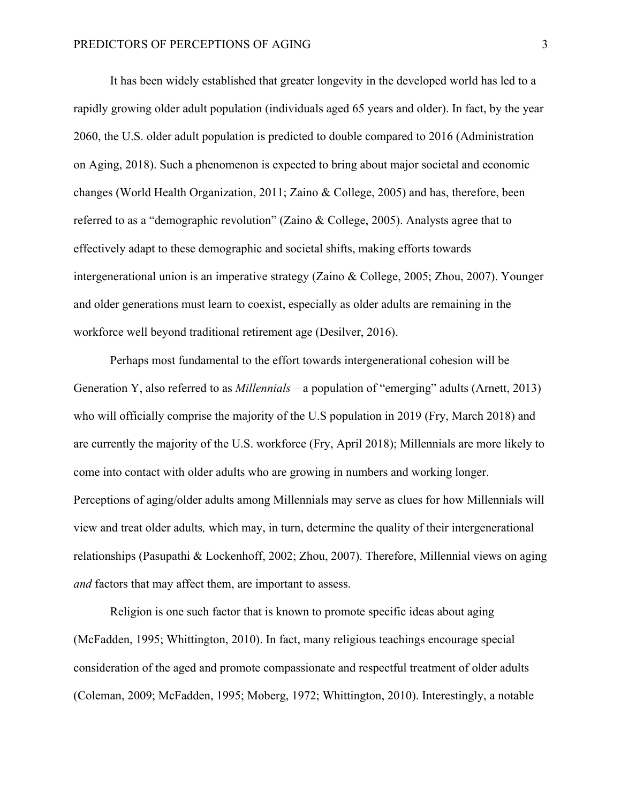It has been widely established that greater longevity in the developed world has led to a rapidly growing older adult population (individuals aged 65 years and older). In fact, by the year 2060, the U.S. older adult population is predicted to double compared to 2016 (Administration on Aging, 2018). Such a phenomenon is expected to bring about major societal and economic changes (World Health Organization, 2011; Zaino & College, 2005) and has, therefore, been referred to as a "demographic revolution" (Zaino & College, 2005). Analysts agree that to effectively adapt to these demographic and societal shifts, making efforts towards intergenerational union is an imperative strategy (Zaino & College, 2005; Zhou, 2007). Younger and older generations must learn to coexist, especially as older adults are remaining in the workforce well beyond traditional retirement age (Desilver, 2016).

Perhaps most fundamental to the effort towards intergenerational cohesion will be Generation Y, also referred to as *Millennials –* a population of "emerging" adults (Arnett, 2013) who will officially comprise the majority of the U.S population in 2019 (Fry, March 2018) and are currently the majority of the U.S. workforce (Fry, April 2018); Millennials are more likely to come into contact with older adults who are growing in numbers and working longer. Perceptions of aging/older adults among Millennials may serve as clues for how Millennials will view and treat older adults*,* which may, in turn, determine the quality of their intergenerational relationships (Pasupathi & Lockenhoff, 2002; Zhou, 2007). Therefore, Millennial views on aging *and* factors that may affect them, are important to assess.

Religion is one such factor that is known to promote specific ideas about aging (McFadden, 1995; Whittington, 2010). In fact, many religious teachings encourage special consideration of the aged and promote compassionate and respectful treatment of older adults (Coleman, 2009; McFadden, 1995; Moberg, 1972; Whittington, 2010). Interestingly, a notable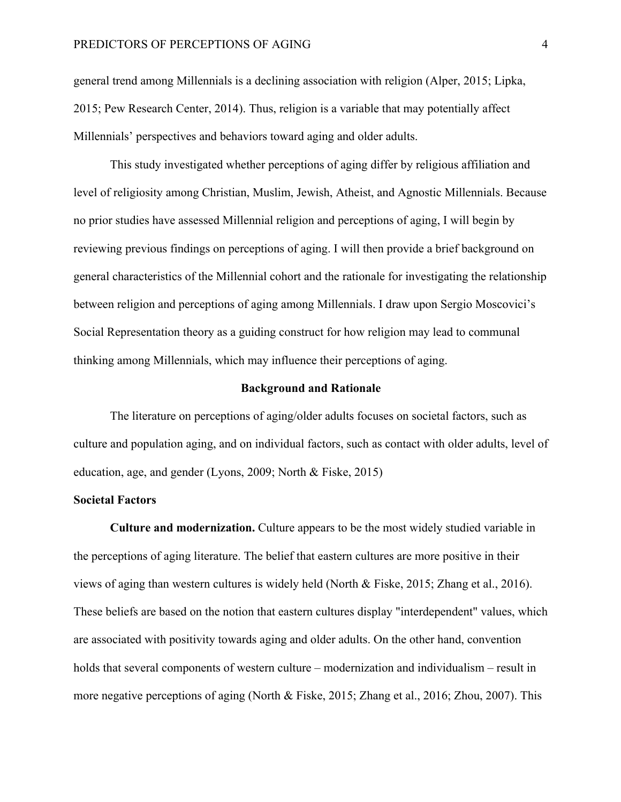general trend among Millennials is a declining association with religion (Alper, 2015; Lipka, 2015; Pew Research Center, 2014). Thus, religion is a variable that may potentially affect Millennials' perspectives and behaviors toward aging and older adults.

This study investigated whether perceptions of aging differ by religious affiliation and level of religiosity among Christian, Muslim, Jewish, Atheist, and Agnostic Millennials. Because no prior studies have assessed Millennial religion and perceptions of aging, I will begin by reviewing previous findings on perceptions of aging. I will then provide a brief background on general characteristics of the Millennial cohort and the rationale for investigating the relationship between religion and perceptions of aging among Millennials. I draw upon Sergio Moscovici's Social Representation theory as a guiding construct for how religion may lead to communal thinking among Millennials, which may influence their perceptions of aging.

#### **Background and Rationale**

The literature on perceptions of aging/older adults focuses on societal factors, such as culture and population aging, and on individual factors, such as contact with older adults, level of education, age, and gender (Lyons, 2009; North & Fiske, 2015)

## **Societal Factors**

**Culture and modernization.** Culture appears to be the most widely studied variable in the perceptions of aging literature. The belief that eastern cultures are more positive in their views of aging than western cultures is widely held (North & Fiske, 2015; Zhang et al., 2016). These beliefs are based on the notion that eastern cultures display "interdependent" values, which are associated with positivity towards aging and older adults. On the other hand, convention holds that several components of western culture – modernization and individualism – result in more negative perceptions of aging (North & Fiske, 2015; Zhang et al., 2016; Zhou, 2007). This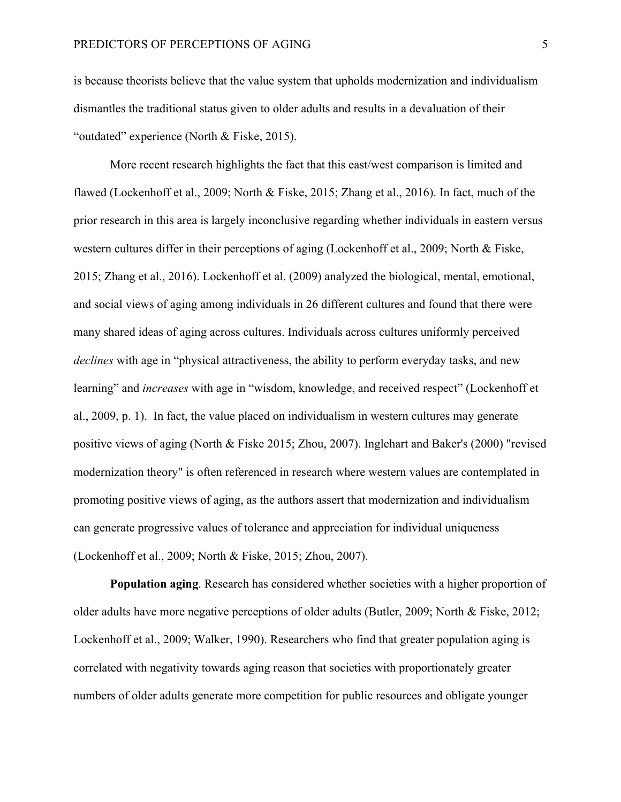is because theorists believe that the value system that upholds modernization and individualism dismantles the traditional status given to older adults and results in a devaluation of their "outdated" experience (North & Fiske, 2015).

More recent research highlights the fact that this east/west comparison is limited and flawed (Lockenhoff et al., 2009; North & Fiske, 2015; Zhang et al., 2016). In fact, much of the prior research in this area is largely inconclusive regarding whether individuals in eastern versus western cultures differ in their perceptions of aging (Lockenhoff et al., 2009; North & Fiske, 2015; Zhang et al., 2016). Lockenhoff et al. (2009) analyzed the biological, mental, emotional, and social views of aging among individuals in 26 different cultures and found that there were many shared ideas of aging across cultures. Individuals across cultures uniformly perceived *declines* with age in "physical attractiveness, the ability to perform everyday tasks, and new learning" and *increases* with age in "wisdom, knowledge, and received respect" (Lockenhoff et al., 2009, p. 1). In fact, the value placed on individualism in western cultures may generate positive views of aging (North & Fiske 2015; Zhou, 2007). Inglehart and Baker's (2000) "revised modernization theory" is often referenced in research where western values are contemplated in promoting positive views of aging, as the authors assert that modernization and individualism can generate progressive values of tolerance and appreciation for individual uniqueness (Lockenhoff et al., 2009; North & Fiske, 2015; Zhou, 2007).

**Population aging**. Research has considered whether societies with a higher proportion of older adults have more negative perceptions of older adults (Butler, 2009; North & Fiske, 2012; Lockenhoff et al., 2009; Walker, 1990). Researchers who find that greater population aging is correlated with negativity towards aging reason that societies with proportionately greater numbers of older adults generate more competition for public resources and obligate younger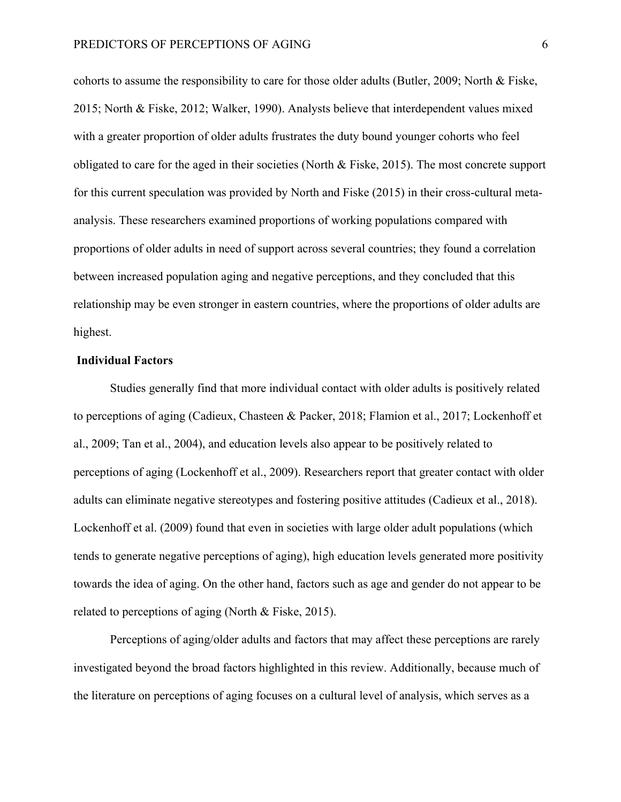cohorts to assume the responsibility to care for those older adults (Butler, 2009; North & Fiske, 2015; North & Fiske, 2012; Walker, 1990). Analysts believe that interdependent values mixed with a greater proportion of older adults frustrates the duty bound younger cohorts who feel obligated to care for the aged in their societies (North & Fiske, 2015). The most concrete support for this current speculation was provided by North and Fiske (2015) in their cross-cultural metaanalysis. These researchers examined proportions of working populations compared with proportions of older adults in need of support across several countries; they found a correlation between increased population aging and negative perceptions, and they concluded that this relationship may be even stronger in eastern countries, where the proportions of older adults are highest.

#### **Individual Factors**

Studies generally find that more individual contact with older adults is positively related to perceptions of aging (Cadieux, Chasteen & Packer, 2018; Flamion et al., 2017; Lockenhoff et al., 2009; Tan et al., 2004), and education levels also appear to be positively related to perceptions of aging (Lockenhoff et al., 2009). Researchers report that greater contact with older adults can eliminate negative stereotypes and fostering positive attitudes (Cadieux et al., 2018). Lockenhoff et al. (2009) found that even in societies with large older adult populations (which tends to generate negative perceptions of aging), high education levels generated more positivity towards the idea of aging. On the other hand, factors such as age and gender do not appear to be related to perceptions of aging (North & Fiske, 2015).

Perceptions of aging/older adults and factors that may affect these perceptions are rarely investigated beyond the broad factors highlighted in this review. Additionally, because much of the literature on perceptions of aging focuses on a cultural level of analysis, which serves as a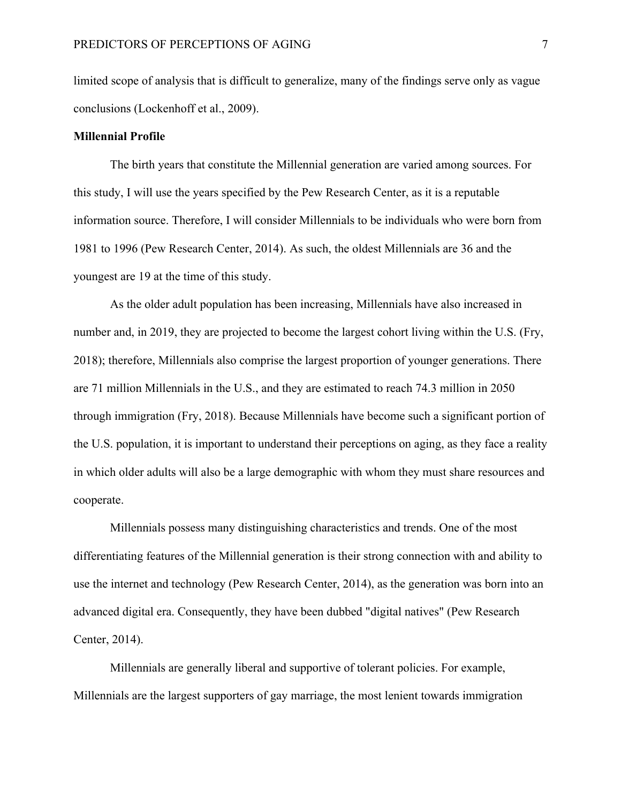limited scope of analysis that is difficult to generalize, many of the findings serve only as vague conclusions (Lockenhoff et al., 2009).

### **Millennial Profile**

The birth years that constitute the Millennial generation are varied among sources. For this study, I will use the years specified by the Pew Research Center, as it is a reputable information source. Therefore, I will consider Millennials to be individuals who were born from 1981 to 1996 (Pew Research Center, 2014). As such, the oldest Millennials are 36 and the youngest are 19 at the time of this study.

As the older adult population has been increasing, Millennials have also increased in number and, in 2019, they are projected to become the largest cohort living within the U.S. (Fry, 2018); therefore, Millennials also comprise the largest proportion of younger generations. There are 71 million Millennials in the U.S., and they are estimated to reach 74.3 million in 2050 through immigration (Fry, 2018). Because Millennials have become such a significant portion of the U.S. population, it is important to understand their perceptions on aging, as they face a reality in which older adults will also be a large demographic with whom they must share resources and cooperate.

Millennials possess many distinguishing characteristics and trends. One of the most differentiating features of the Millennial generation is their strong connection with and ability to use the internet and technology (Pew Research Center, 2014), as the generation was born into an advanced digital era. Consequently, they have been dubbed "digital natives" (Pew Research Center, 2014).

Millennials are generally liberal and supportive of tolerant policies. For example, Millennials are the largest supporters of gay marriage, the most lenient towards immigration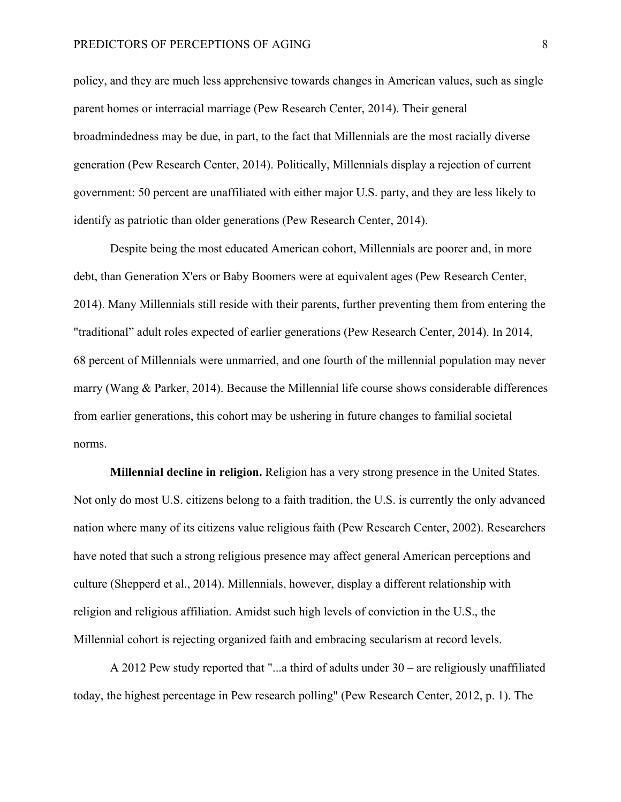policy, and they are much less apprehensive towards changes in American values, such as single parent homes or interracial marriage (Pew Research Center, 2014). Their general broadmindedness may be due, in part, to the fact that Millennials are the most racially diverse generation (Pew Research Center, 2014). Politically, Millennials display a rejection of current government: 50 percent are unaffiliated with either major U.S. party, and they are less likely to identify as patriotic than older generations (Pew Research Center, 2014).

Despite being the most educated American cohort, Millennials are poorer and, in more debt, than Generation X'ers or Baby Boomers were at equivalent ages (Pew Research Center, 2014). Many Millennials still reside with their parents, further preventing them from entering the "traditional" adult roles expected of earlier generations (Pew Research Center, 2014). In 2014, 68 percent of Millennials were unmarried, and one fourth of the millennial population may never marry (Wang & Parker, 2014). Because the Millennial life course shows considerable differences from earlier generations, this cohort may be ushering in future changes to familial societal norms.

**Millennial decline in religion.** Religion has a very strong presence in the United States. Not only do most U.S. citizens belong to a faith tradition, the U.S. is currently the only advanced nation where many of its citizens value religious faith (Pew Research Center, 2002). Researchers have noted that such a strong religious presence may affect general American perceptions and culture (Shepperd et al., 2014). Millennials, however, display a different relationship with religion and religious affiliation. Amidst such high levels of conviction in the U.S., the Millennial cohort is rejecting organized faith and embracing secularism at record levels.

A 2012 Pew study reported that "...a third of adults under 30 – are religiously unaffiliated today, the highest percentage in Pew research polling" (Pew Research Center, 2012, p. 1). The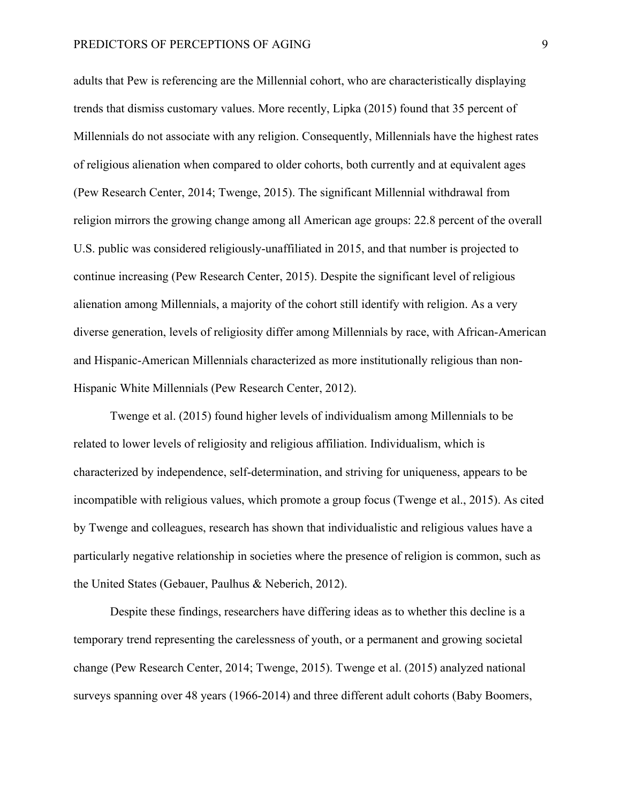adults that Pew is referencing are the Millennial cohort, who are characteristically displaying trends that dismiss customary values. More recently, Lipka (2015) found that 35 percent of Millennials do not associate with any religion. Consequently, Millennials have the highest rates of religious alienation when compared to older cohorts, both currently and at equivalent ages (Pew Research Center, 2014; Twenge, 2015). The significant Millennial withdrawal from religion mirrors the growing change among all American age groups: 22.8 percent of the overall U.S. public was considered religiously-unaffiliated in 2015, and that number is projected to continue increasing (Pew Research Center, 2015). Despite the significant level of religious alienation among Millennials, a majority of the cohort still identify with religion. As a very diverse generation, levels of religiosity differ among Millennials by race, with African-American and Hispanic-American Millennials characterized as more institutionally religious than non-Hispanic White Millennials (Pew Research Center, 2012).

Twenge et al. (2015) found higher levels of individualism among Millennials to be related to lower levels of religiosity and religious affiliation. Individualism, which is characterized by independence, self-determination, and striving for uniqueness, appears to be incompatible with religious values, which promote a group focus (Twenge et al., 2015). As cited by Twenge and colleagues, research has shown that individualistic and religious values have a particularly negative relationship in societies where the presence of religion is common, such as the United States (Gebauer, Paulhus & Neberich, 2012).

Despite these findings, researchers have differing ideas as to whether this decline is a temporary trend representing the carelessness of youth, or a permanent and growing societal change (Pew Research Center, 2014; Twenge, 2015). Twenge et al. (2015) analyzed national surveys spanning over 48 years (1966-2014) and three different adult cohorts (Baby Boomers,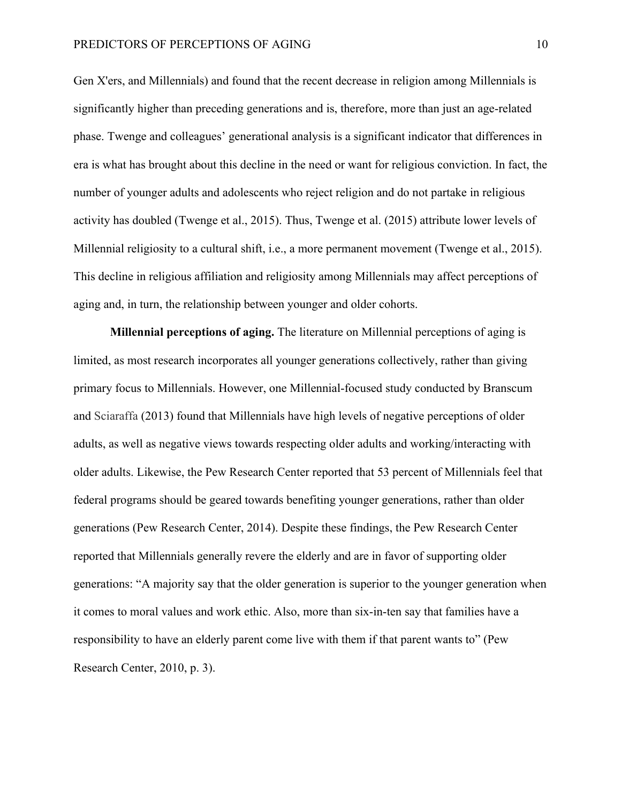Gen X'ers, and Millennials) and found that the recent decrease in religion among Millennials is significantly higher than preceding generations and is, therefore, more than just an age-related phase. Twenge and colleagues' generational analysis is a significant indicator that differences in era is what has brought about this decline in the need or want for religious conviction. In fact, the number of younger adults and adolescents who reject religion and do not partake in religious activity has doubled (Twenge et al., 2015). Thus, Twenge et al. (2015) attribute lower levels of Millennial religiosity to a cultural shift, i.e., a more permanent movement (Twenge et al., 2015). This decline in religious affiliation and religiosity among Millennials may affect perceptions of aging and, in turn, the relationship between younger and older cohorts.

**Millennial perceptions of aging.** The literature on Millennial perceptions of aging is limited, as most research incorporates all younger generations collectively, rather than giving primary focus to Millennials. However, one Millennial-focused study conducted by Branscum and Sciaraffa (2013) found that Millennials have high levels of negative perceptions of older adults, as well as negative views towards respecting older adults and working/interacting with older adults. Likewise, the Pew Research Center reported that 53 percent of Millennials feel that federal programs should be geared towards benefiting younger generations, rather than older generations (Pew Research Center, 2014). Despite these findings, the Pew Research Center reported that Millennials generally revere the elderly and are in favor of supporting older generations: "A majority say that the older generation is superior to the younger generation when it comes to moral values and work ethic. Also, more than six-in-ten say that families have a responsibility to have an elderly parent come live with them if that parent wants to" (Pew Research Center, 2010, p. 3).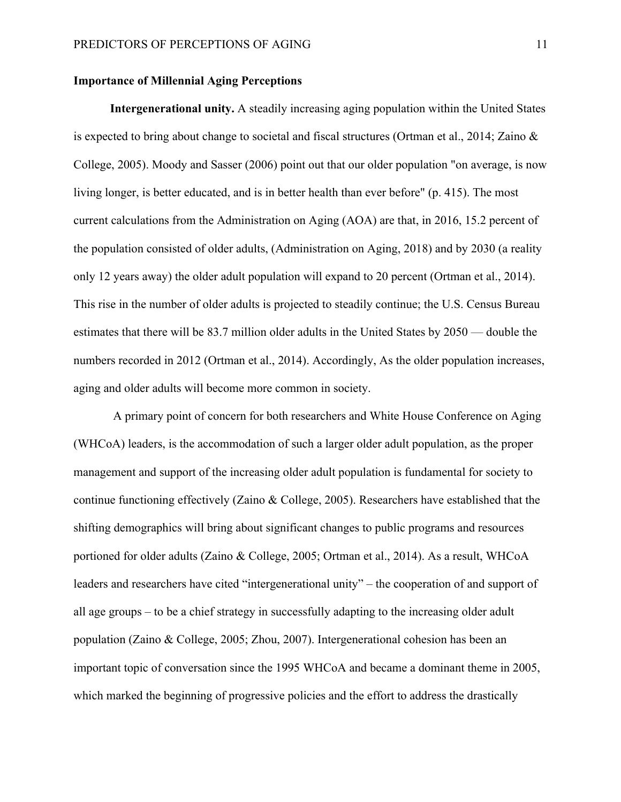## **Importance of Millennial Aging Perceptions**

**Intergenerational unity.** A steadily increasing aging population within the United States is expected to bring about change to societal and fiscal structures (Ortman et al., 2014; Zaino & College, 2005). Moody and Sasser (2006) point out that our older population "on average, is now living longer, is better educated, and is in better health than ever before" (p. 415). The most current calculations from the Administration on Aging (AOA) are that, in 2016, 15.2 percent of the population consisted of older adults, (Administration on Aging, 2018) and by 2030 (a reality only 12 years away) the older adult population will expand to 20 percent (Ortman et al., 2014). This rise in the number of older adults is projected to steadily continue; the U.S. Census Bureau estimates that there will be 83.7 million older adults in the United States by 2050 — double the numbers recorded in 2012 (Ortman et al., 2014). Accordingly, As the older population increases, aging and older adults will become more common in society.

A primary point of concern for both researchers and White House Conference on Aging (WHCoA) leaders, is the accommodation of such a larger older adult population, as the proper management and support of the increasing older adult population is fundamental for society to continue functioning effectively (Zaino & College, 2005). Researchers have established that the shifting demographics will bring about significant changes to public programs and resources portioned for older adults (Zaino & College, 2005; Ortman et al., 2014). As a result, WHCoA leaders and researchers have cited "intergenerational unity" – the cooperation of and support of all age groups – to be a chief strategy in successfully adapting to the increasing older adult population (Zaino & College, 2005; Zhou, 2007). Intergenerational cohesion has been an important topic of conversation since the 1995 WHCoA and became a dominant theme in 2005, which marked the beginning of progressive policies and the effort to address the drastically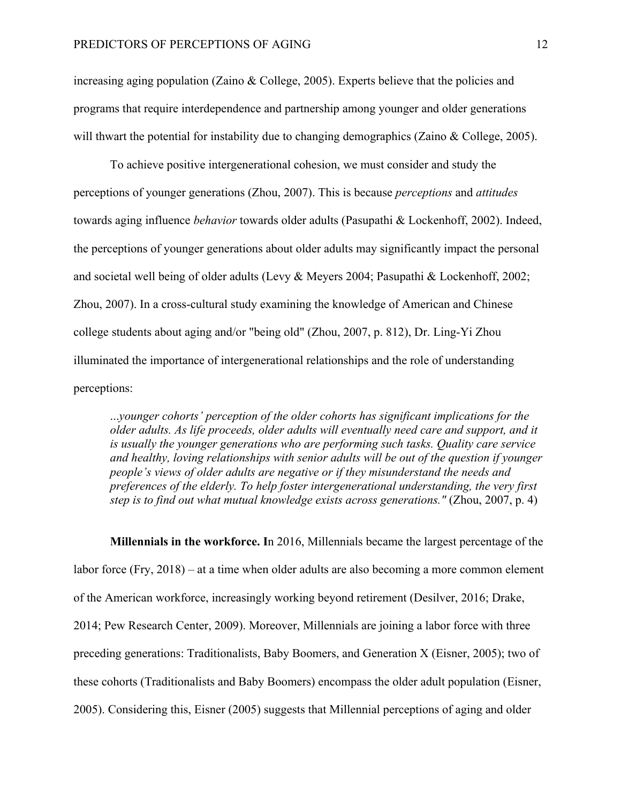increasing aging population (Zaino & College, 2005). Experts believe that the policies and programs that require interdependence and partnership among younger and older generations will thwart the potential for instability due to changing demographics (Zaino & College, 2005).

To achieve positive intergenerational cohesion, we must consider and study the perceptions of younger generations (Zhou, 2007). This is because *perceptions* and *attitudes* towards aging influence *behavior* towards older adults (Pasupathi & Lockenhoff, 2002). Indeed, the perceptions of younger generations about older adults may significantly impact the personal and societal well being of older adults (Levy & Meyers 2004; Pasupathi & Lockenhoff, 2002; Zhou, 2007). In a cross-cultural study examining the knowledge of American and Chinese college students about aging and/or "being old" (Zhou, 2007, p. 812), Dr. Ling-Yi Zhou illuminated the importance of intergenerational relationships and the role of understanding perceptions:

...*younger cohorts' perception of the older cohorts has significant implications for the older adults. As life proceeds, older adults will eventually need care and support, and it is usually the younger generations who are performing such tasks. Quality care service and healthy, loving relationships with senior adults will be out of the question if younger people's views of older adults are negative or if they misunderstand the needs and preferences of the elderly. To help foster intergenerational understanding, the very first step is to find out what mutual knowledge exists across generations."* (Zhou, 2007, p. 4)

**Millennials in the workforce. I**n 2016, Millennials became the largest percentage of the labor force (Fry, 2018) – at a time when older adults are also becoming a more common element of the American workforce, increasingly working beyond retirement (Desilver, 2016; Drake, 2014; Pew Research Center, 2009). Moreover, Millennials are joining a labor force with three preceding generations: Traditionalists, Baby Boomers, and Generation X (Eisner, 2005); two of these cohorts (Traditionalists and Baby Boomers) encompass the older adult population (Eisner, 2005). Considering this, Eisner (2005) suggests that Millennial perceptions of aging and older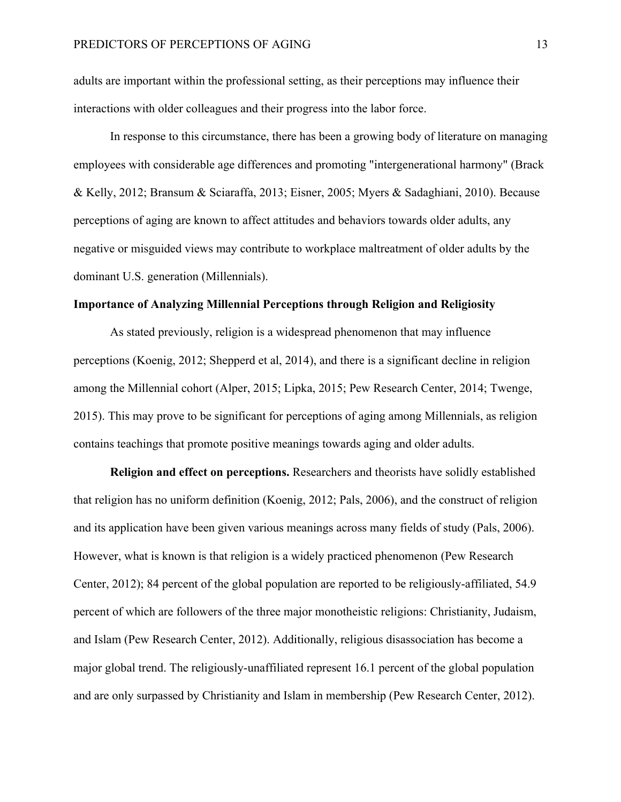adults are important within the professional setting, as their perceptions may influence their interactions with older colleagues and their progress into the labor force.

In response to this circumstance, there has been a growing body of literature on managing employees with considerable age differences and promoting "intergenerational harmony" (Brack & Kelly, 2012; Bransum & Sciaraffa, 2013; Eisner, 2005; Myers & Sadaghiani, 2010). Because perceptions of aging are known to affect attitudes and behaviors towards older adults, any negative or misguided views may contribute to workplace maltreatment of older adults by the dominant U.S. generation (Millennials).

### **Importance of Analyzing Millennial Perceptions through Religion and Religiosity**

As stated previously, religion is a widespread phenomenon that may influence perceptions (Koenig, 2012; Shepperd et al, 2014), and there is a significant decline in religion among the Millennial cohort (Alper, 2015; Lipka, 2015; Pew Research Center, 2014; Twenge, 2015). This may prove to be significant for perceptions of aging among Millennials, as religion contains teachings that promote positive meanings towards aging and older adults.

**Religion and effect on perceptions.** Researchers and theorists have solidly established that religion has no uniform definition (Koenig, 2012; Pals, 2006), and the construct of religion and its application have been given various meanings across many fields of study (Pals, 2006). However, what is known is that religion is a widely practiced phenomenon (Pew Research Center, 2012); 84 percent of the global population are reported to be religiously-affiliated, 54.9 percent of which are followers of the three major monotheistic religions: Christianity, Judaism, and Islam (Pew Research Center, 2012). Additionally, religious disassociation has become a major global trend. The religiously-unaffiliated represent 16.1 percent of the global population and are only surpassed by Christianity and Islam in membership (Pew Research Center, 2012).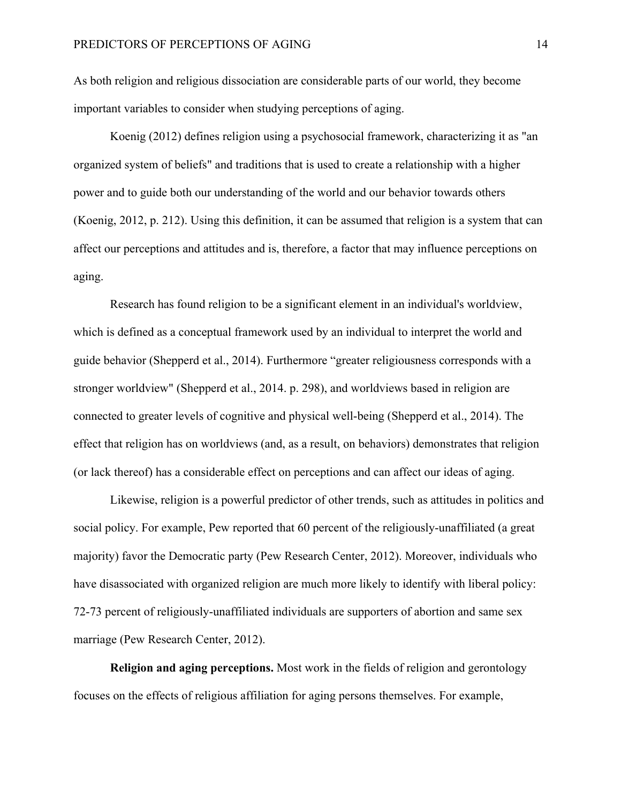As both religion and religious dissociation are considerable parts of our world, they become important variables to consider when studying perceptions of aging.

Koenig (2012) defines religion using a psychosocial framework, characterizing it as "an organized system of beliefs" and traditions that is used to create a relationship with a higher power and to guide both our understanding of the world and our behavior towards others (Koenig, 2012, p. 212). Using this definition, it can be assumed that religion is a system that can affect our perceptions and attitudes and is, therefore, a factor that may influence perceptions on aging.

Research has found religion to be a significant element in an individual's worldview, which is defined as a conceptual framework used by an individual to interpret the world and guide behavior (Shepperd et al., 2014). Furthermore "greater religiousness corresponds with a stronger worldview" (Shepperd et al., 2014. p. 298), and worldviews based in religion are connected to greater levels of cognitive and physical well-being (Shepperd et al., 2014). The effect that religion has on worldviews (and, as a result, on behaviors) demonstrates that religion (or lack thereof) has a considerable effect on perceptions and can affect our ideas of aging.

Likewise, religion is a powerful predictor of other trends, such as attitudes in politics and social policy. For example, Pew reported that 60 percent of the religiously-unaffiliated (a great majority) favor the Democratic party (Pew Research Center, 2012). Moreover, individuals who have disassociated with organized religion are much more likely to identify with liberal policy: 72-73 percent of religiously-unaffiliated individuals are supporters of abortion and same sex marriage (Pew Research Center, 2012).

**Religion and aging perceptions.** Most work in the fields of religion and gerontology focuses on the effects of religious affiliation for aging persons themselves. For example,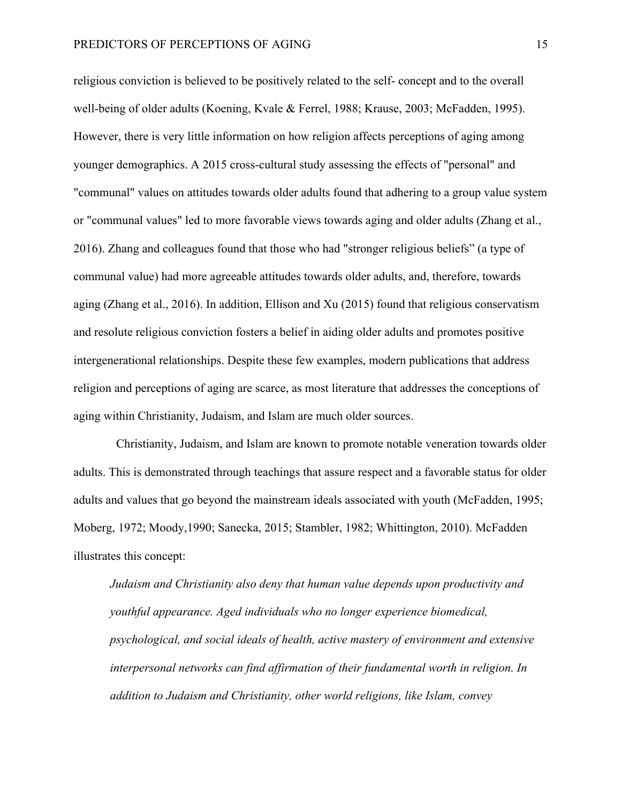religious conviction is believed to be positively related to the self- concept and to the overall well-being of older adults (Koening, Kvale & Ferrel, 1988; Krause, 2003; McFadden, 1995). However, there is very little information on how religion affects perceptions of aging among younger demographics. A 2015 cross-cultural study assessing the effects of "personal" and "communal" values on attitudes towards older adults found that adhering to a group value system or "communal values" led to more favorable views towards aging and older adults (Zhang et al., 2016). Zhang and colleagues found that those who had "stronger religious beliefs" (a type of communal value) had more agreeable attitudes towards older adults, and, therefore, towards aging (Zhang et al., 2016). In addition, Ellison and Xu (2015) found that religious conservatism and resolute religious conviction fosters a belief in aiding older adults and promotes positive intergenerational relationships. Despite these few examples, modern publications that address religion and perceptions of aging are scarce, as most literature that addresses the conceptions of aging within Christianity, Judaism, and Islam are much older sources.

 Christianity, Judaism, and Islam are known to promote notable veneration towards older adults. This is demonstrated through teachings that assure respect and a favorable status for older adults and values that go beyond the mainstream ideals associated with youth (McFadden, 1995; Moberg, 1972; Moody,1990; Sanecka, 2015; Stambler, 1982; Whittington, 2010). McFadden illustrates this concept:

*Judaism and Christianity also deny that human value depends upon productivity and youthful appearance. Aged individuals who no longer experience biomedical, psychological, and social ideals of health, active mastery of environment and extensive interpersonal networks can find affirmation of their fundamental worth in religion. In addition to Judaism and Christianity, other world religions, like Islam, convey*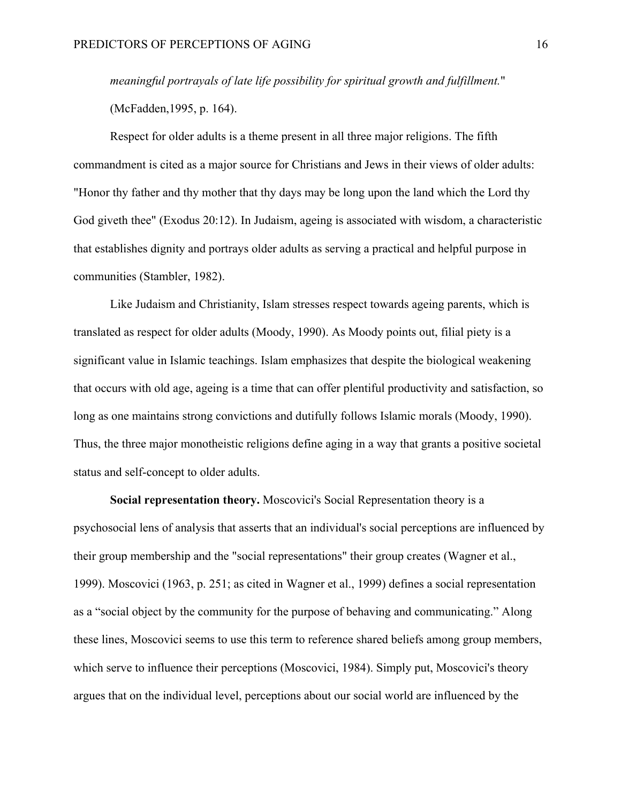*meaningful portrayals of late life possibility for spiritual growth and fulfillment.*" (McFadden,1995, p. 164).

Respect for older adults is a theme present in all three major religions. The fifth commandment is cited as a major source for Christians and Jews in their views of older adults: "Honor thy father and thy mother that thy days may be long upon the land which the Lord thy God giveth thee" (Exodus 20:12). In Judaism, ageing is associated with wisdom, a characteristic that establishes dignity and portrays older adults as serving a practical and helpful purpose in communities (Stambler, 1982).

Like Judaism and Christianity, Islam stresses respect towards ageing parents, which is translated as respect for older adults (Moody, 1990). As Moody points out, filial piety is a significant value in Islamic teachings. Islam emphasizes that despite the biological weakening that occurs with old age, ageing is a time that can offer plentiful productivity and satisfaction, so long as one maintains strong convictions and dutifully follows Islamic morals (Moody, 1990). Thus, the three major monotheistic religions define aging in a way that grants a positive societal status and self-concept to older adults.

**Social representation theory.** Moscovici's Social Representation theory is a psychosocial lens of analysis that asserts that an individual's social perceptions are influenced by their group membership and the "social representations" their group creates (Wagner et al., 1999). Moscovici (1963, p. 251; as cited in Wagner et al., 1999) defines a social representation as a "social object by the community for the purpose of behaving and communicating." Along these lines, Moscovici seems to use this term to reference shared beliefs among group members, which serve to influence their perceptions (Moscovici, 1984). Simply put, Moscovici's theory argues that on the individual level, perceptions about our social world are influenced by the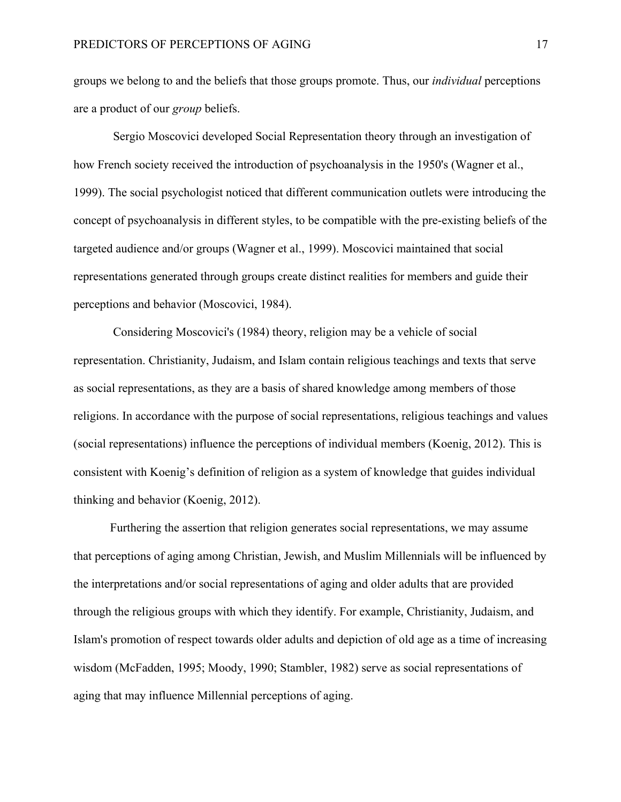groups we belong to and the beliefs that those groups promote. Thus, our *individual* perceptions are a product of our *group* beliefs.

Sergio Moscovici developed Social Representation theory through an investigation of how French society received the introduction of psychoanalysis in the 1950's (Wagner et al., 1999). The social psychologist noticed that different communication outlets were introducing the concept of psychoanalysis in different styles, to be compatible with the pre-existing beliefs of the targeted audience and/or groups (Wagner et al., 1999). Moscovici maintained that social representations generated through groups create distinct realities for members and guide their perceptions and behavior (Moscovici, 1984).

Considering Moscovici's (1984) theory, religion may be a vehicle of social representation. Christianity, Judaism, and Islam contain religious teachings and texts that serve as social representations, as they are a basis of shared knowledge among members of those religions. In accordance with the purpose of social representations, religious teachings and values (social representations) influence the perceptions of individual members (Koenig, 2012). This is consistent with Koenig's definition of religion as a system of knowledge that guides individual thinking and behavior (Koenig, 2012).

Furthering the assertion that religion generates social representations, we may assume that perceptions of aging among Christian, Jewish, and Muslim Millennials will be influenced by the interpretations and/or social representations of aging and older adults that are provided through the religious groups with which they identify. For example, Christianity, Judaism, and Islam's promotion of respect towards older adults and depiction of old age as a time of increasing wisdom (McFadden, 1995; Moody, 1990; Stambler, 1982) serve as social representations of aging that may influence Millennial perceptions of aging.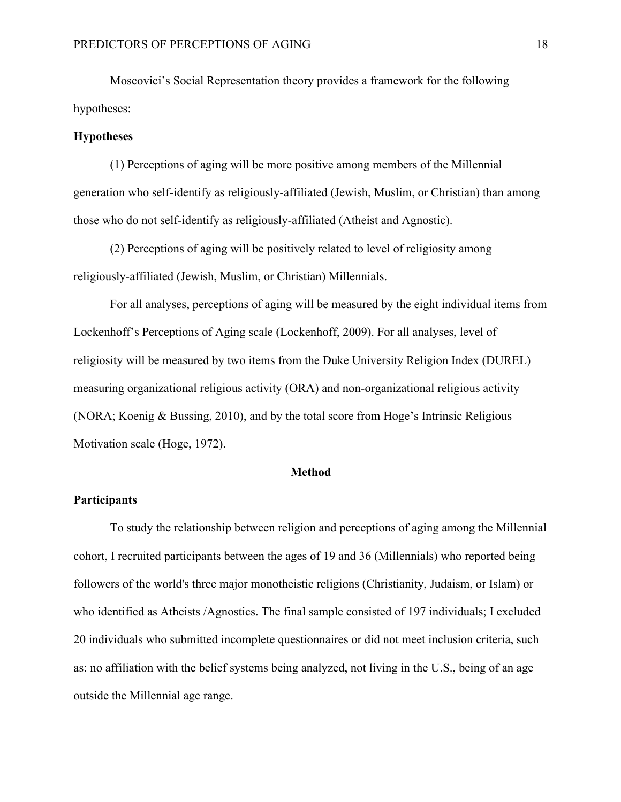Moscovici's Social Representation theory provides a framework for the following hypotheses:

#### **Hypotheses**

(1) Perceptions of aging will be more positive among members of the Millennial generation who self-identify as religiously-affiliated (Jewish, Muslim, or Christian) than among those who do not self-identify as religiously-affiliated (Atheist and Agnostic).

(2) Perceptions of aging will be positively related to level of religiosity among religiously-affiliated (Jewish, Muslim, or Christian) Millennials.

For all analyses, perceptions of aging will be measured by the eight individual items from Lockenhoff's Perceptions of Aging scale (Lockenhoff, 2009). For all analyses, level of religiosity will be measured by two items from the Duke University Religion Index (DUREL) measuring organizational religious activity (ORA) and non-organizational religious activity (NORA; Koenig & Bussing, 2010), and by the total score from Hoge's Intrinsic Religious Motivation scale (Hoge, 1972).

### **Method**

## **Participants**

To study the relationship between religion and perceptions of aging among the Millennial cohort, I recruited participants between the ages of 19 and 36 (Millennials) who reported being followers of the world's three major monotheistic religions (Christianity, Judaism, or Islam) or who identified as Atheists /Agnostics. The final sample consisted of 197 individuals; I excluded 20 individuals who submitted incomplete questionnaires or did not meet inclusion criteria, such as: no affiliation with the belief systems being analyzed, not living in the U.S., being of an age outside the Millennial age range.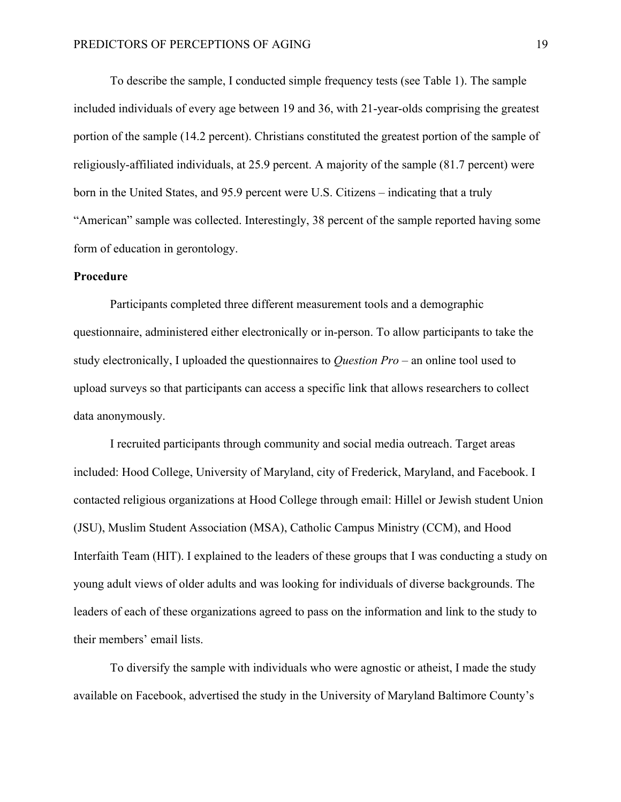To describe the sample, I conducted simple frequency tests (see Table 1). The sample included individuals of every age between 19 and 36, with 21-year-olds comprising the greatest portion of the sample (14.2 percent). Christians constituted the greatest portion of the sample of religiously-affiliated individuals, at 25.9 percent. A majority of the sample (81.7 percent) were born in the United States, and 95.9 percent were U.S. Citizens – indicating that a truly "American" sample was collected. Interestingly, 38 percent of the sample reported having some form of education in gerontology.

### **Procedure**

Participants completed three different measurement tools and a demographic questionnaire, administered either electronically or in-person. To allow participants to take the study electronically, I uploaded the questionnaires to *Question Pro* – an online tool used to upload surveys so that participants can access a specific link that allows researchers to collect data anonymously.

I recruited participants through community and social media outreach. Target areas included: Hood College, University of Maryland, city of Frederick, Maryland, and Facebook. I contacted religious organizations at Hood College through email: Hillel or Jewish student Union (JSU), Muslim Student Association (MSA), Catholic Campus Ministry (CCM), and Hood Interfaith Team (HIT). I explained to the leaders of these groups that I was conducting a study on young adult views of older adults and was looking for individuals of diverse backgrounds. The leaders of each of these organizations agreed to pass on the information and link to the study to their members' email lists.

To diversify the sample with individuals who were agnostic or atheist, I made the study available on Facebook, advertised the study in the University of Maryland Baltimore County's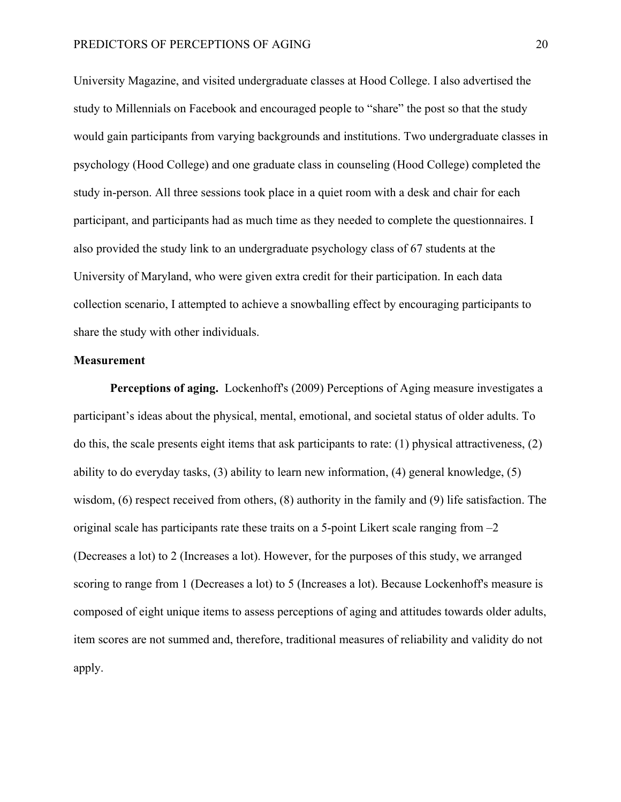University Magazine, and visited undergraduate classes at Hood College. I also advertised the study to Millennials on Facebook and encouraged people to "share" the post so that the study would gain participants from varying backgrounds and institutions. Two undergraduate classes in psychology (Hood College) and one graduate class in counseling (Hood College) completed the study in-person. All three sessions took place in a quiet room with a desk and chair for each participant, and participants had as much time as they needed to complete the questionnaires. I also provided the study link to an undergraduate psychology class of 67 students at the University of Maryland, who were given extra credit for their participation. In each data collection scenario, I attempted to achieve a snowballing effect by encouraging participants to share the study with other individuals.

### **Measurement**

**Perceptions of aging.** Lockenhoff's (2009) Perceptions of Aging measure investigates a participant's ideas about the physical, mental, emotional, and societal status of older adults. To do this, the scale presents eight items that ask participants to rate: (1) physical attractiveness, (2) ability to do everyday tasks, (3) ability to learn new information, (4) general knowledge, (5) wisdom, (6) respect received from others, (8) authority in the family and (9) life satisfaction. The original scale has participants rate these traits on a 5-point Likert scale ranging from –2 (Decreases a lot) to 2 (Increases a lot). However, for the purposes of this study, we arranged scoring to range from 1 (Decreases a lot) to 5 (Increases a lot). Because Lockenhoff's measure is composed of eight unique items to assess perceptions of aging and attitudes towards older adults, item scores are not summed and, therefore, traditional measures of reliability and validity do not apply.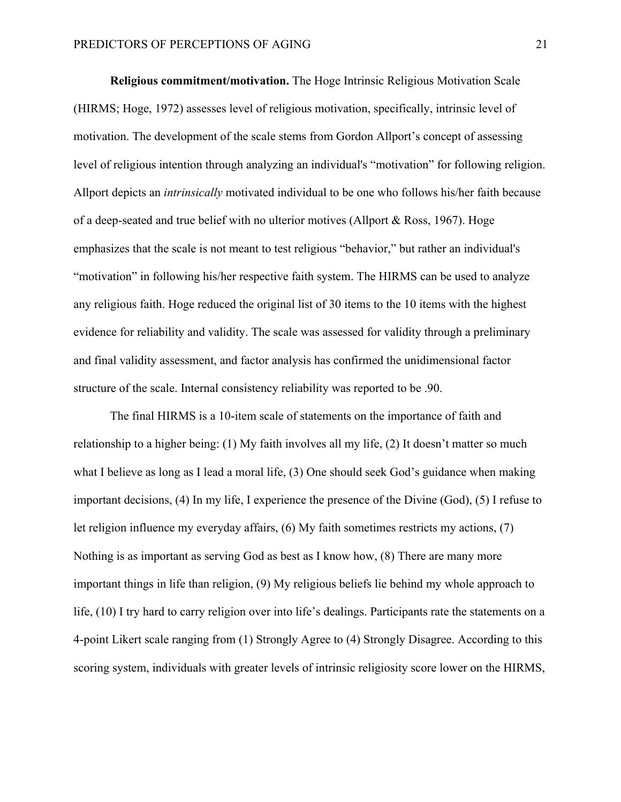**Religious commitment/motivation.** The Hoge Intrinsic Religious Motivation Scale (HIRMS; Hoge, 1972) assesses level of religious motivation, specifically, intrinsic level of motivation. The development of the scale stems from Gordon Allport's concept of assessing level of religious intention through analyzing an individual's "motivation" for following religion. Allport depicts an *intrinsically* motivated individual to be one who follows his/her faith because of a deep-seated and true belief with no ulterior motives (Allport & Ross, 1967). Hoge emphasizes that the scale is not meant to test religious "behavior," but rather an individual's "motivation" in following his/her respective faith system. The HIRMS can be used to analyze any religious faith. Hoge reduced the original list of 30 items to the 10 items with the highest evidence for reliability and validity. The scale was assessed for validity through a preliminary and final validity assessment, and factor analysis has confirmed the unidimensional factor structure of the scale. Internal consistency reliability was reported to be .90.

The final HIRMS is a 10-item scale of statements on the importance of faith and relationship to a higher being: (1) My faith involves all my life, (2) It doesn't matter so much what I believe as long as I lead a moral life, (3) One should seek God's guidance when making important decisions, (4) In my life, I experience the presence of the Divine (God), (5) I refuse to let religion influence my everyday affairs, (6) My faith sometimes restricts my actions, (7) Nothing is as important as serving God as best as I know how, (8) There are many more important things in life than religion, (9) My religious beliefs lie behind my whole approach to life, (10) I try hard to carry religion over into life's dealings. Participants rate the statements on a 4-point Likert scale ranging from (1) Strongly Agree to (4) Strongly Disagree. According to this scoring system, individuals with greater levels of intrinsic religiosity score lower on the HIRMS,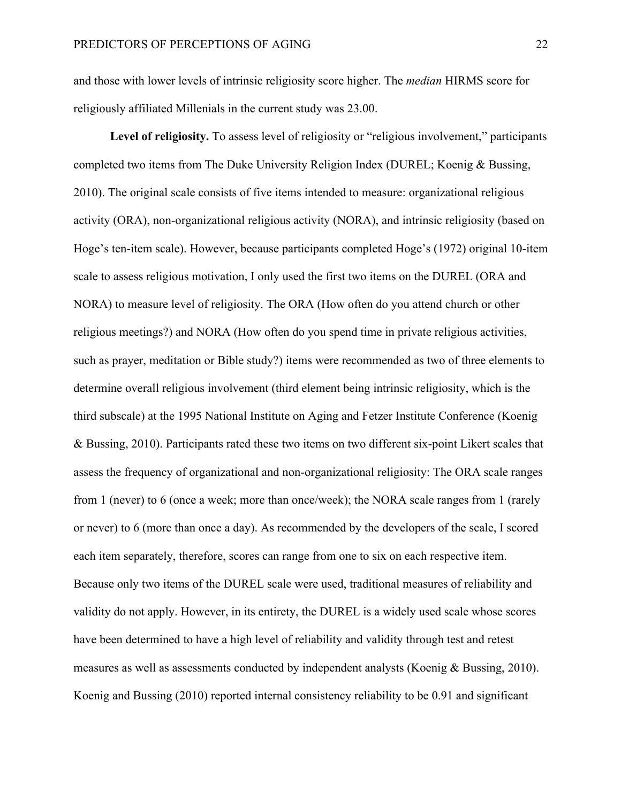and those with lower levels of intrinsic religiosity score higher. The *median* HIRMS score for religiously affiliated Millenials in the current study was 23.00.

**Level of religiosity.** To assess level of religiosity or "religious involvement," participants completed two items from The Duke University Religion Index (DUREL; Koenig & Bussing, 2010). The original scale consists of five items intended to measure: organizational religious activity (ORA), non-organizational religious activity (NORA), and intrinsic religiosity (based on Hoge's ten-item scale). However, because participants completed Hoge's (1972) original 10-item scale to assess religious motivation, I only used the first two items on the DUREL (ORA and NORA) to measure level of religiosity. The ORA (How often do you attend church or other religious meetings?) and NORA (How often do you spend time in private religious activities, such as prayer, meditation or Bible study?) items were recommended as two of three elements to determine overall religious involvement (third element being intrinsic religiosity, which is the third subscale) at the 1995 National Institute on Aging and Fetzer Institute Conference (Koenig & Bussing, 2010). Participants rated these two items on two different six-point Likert scales that assess the frequency of organizational and non-organizational religiosity: The ORA scale ranges from 1 (never) to 6 (once a week; more than once/week); the NORA scale ranges from 1 (rarely or never) to 6 (more than once a day). As recommended by the developers of the scale, I scored each item separately, therefore, scores can range from one to six on each respective item. Because only two items of the DUREL scale were used, traditional measures of reliability and validity do not apply. However, in its entirety, the DUREL is a widely used scale whose scores have been determined to have a high level of reliability and validity through test and retest measures as well as assessments conducted by independent analysts (Koenig & Bussing, 2010). Koenig and Bussing (2010) reported internal consistency reliability to be 0.91 and significant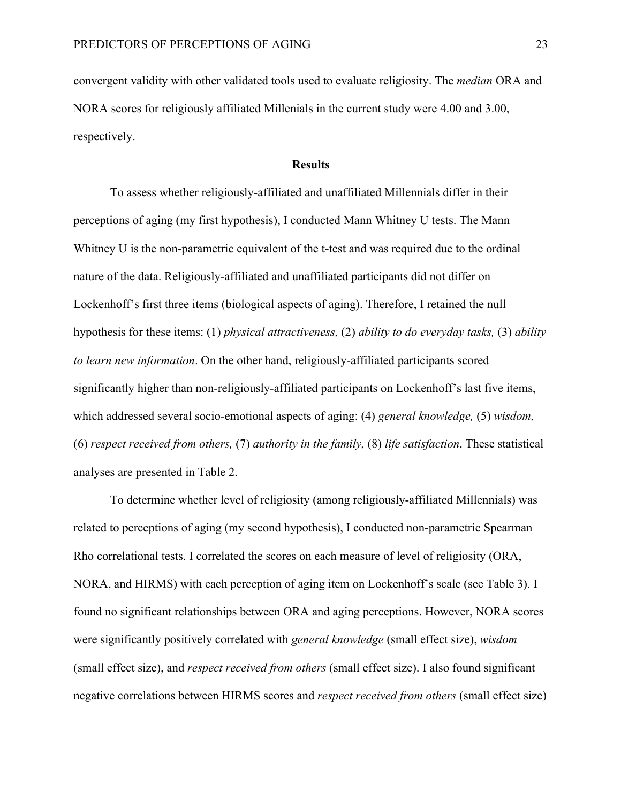convergent validity with other validated tools used to evaluate religiosity. The *median* ORA and NORA scores for religiously affiliated Millenials in the current study were 4.00 and 3.00, respectively.

## **Results**

To assess whether religiously-affiliated and unaffiliated Millennials differ in their perceptions of aging (my first hypothesis), I conducted Mann Whitney U tests. The Mann Whitney U is the non-parametric equivalent of the t-test and was required due to the ordinal nature of the data. Religiously-affiliated and unaffiliated participants did not differ on Lockenhoff's first three items (biological aspects of aging). Therefore, I retained the null hypothesis for these items: (1) *physical attractiveness,* (2) *ability to do everyday tasks,* (3) *ability to learn new information*. On the other hand, religiously-affiliated participants scored significantly higher than non-religiously-affiliated participants on Lockenhoff's last five items, which addressed several socio-emotional aspects of aging: (4) *general knowledge,* (5) *wisdom,*  (6) *respect received from others,* (7) *authority in the family,* (8) *life satisfaction*. These statistical analyses are presented in Table 2.

To determine whether level of religiosity (among religiously-affiliated Millennials) was related to perceptions of aging (my second hypothesis), I conducted non-parametric Spearman Rho correlational tests. I correlated the scores on each measure of level of religiosity (ORA, NORA, and HIRMS) with each perception of aging item on Lockenhoff's scale (see Table 3). I found no significant relationships between ORA and aging perceptions. However, NORA scores were significantly positively correlated with *general knowledge* (small effect size), *wisdom* (small effect size), and *respect received from others* (small effect size). I also found significant negative correlations between HIRMS scores and *respect received from others* (small effect size)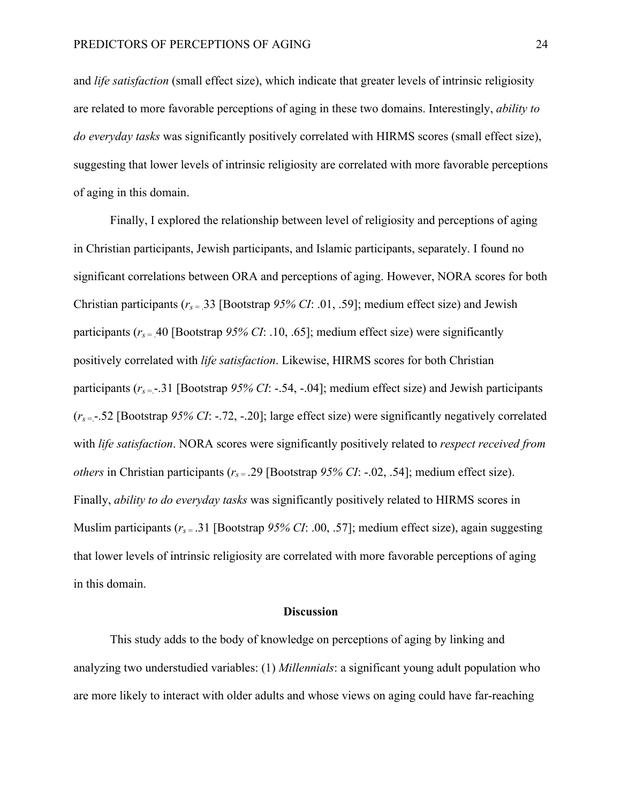and *life satisfaction* (small effect size), which indicate that greater levels of intrinsic religiosity are related to more favorable perceptions of aging in these two domains. Interestingly, *ability to do everyday tasks* was significantly positively correlated with HIRMS scores (small effect size), suggesting that lower levels of intrinsic religiosity are correlated with more favorable perceptions of aging in this domain.

Finally, I explored the relationship between level of religiosity and perceptions of aging in Christian participants, Jewish participants, and Islamic participants, separately. I found no significant correlations between ORA and perceptions of aging. However, NORA scores for both Christian participants ( $r_s$  = .33 [Bootstrap 95% CI: .01, .59]; medium effect size) and Jewish participants ( $r_s$  = 40 [Bootstrap  $95\%$  CI: .10, .65]; medium effect size) were significantly positively correlated with *life satisfaction*. Likewise, HIRMS scores for both Christian participants  $(r_s = .31$  [Bootstrap  $95\%$  CI: -.54, -.04]; medium effect size) and Jewish participants (*rs* =.-.52 [Bootstrap *95% CI*: -.72, -.20]; large effect size) were significantly negatively correlated with *life satisfaction*. NORA scores were significantly positively related to *respect received from others* in Christian participants (*rs* = .29 [Bootstrap *95% CI*: -.02, .54]; medium effect size). Finally, *ability to do everyday tasks* was significantly positively related to HIRMS scores in Muslim participants (*rs* = .31 [Bootstrap *95% CI*: .00, .57]; medium effect size), again suggesting that lower levels of intrinsic religiosity are correlated with more favorable perceptions of aging in this domain.

#### **Discussion**

This study adds to the body of knowledge on perceptions of aging by linking and analyzing two understudied variables: (1) *Millennials*: a significant young adult population who are more likely to interact with older adults and whose views on aging could have far-reaching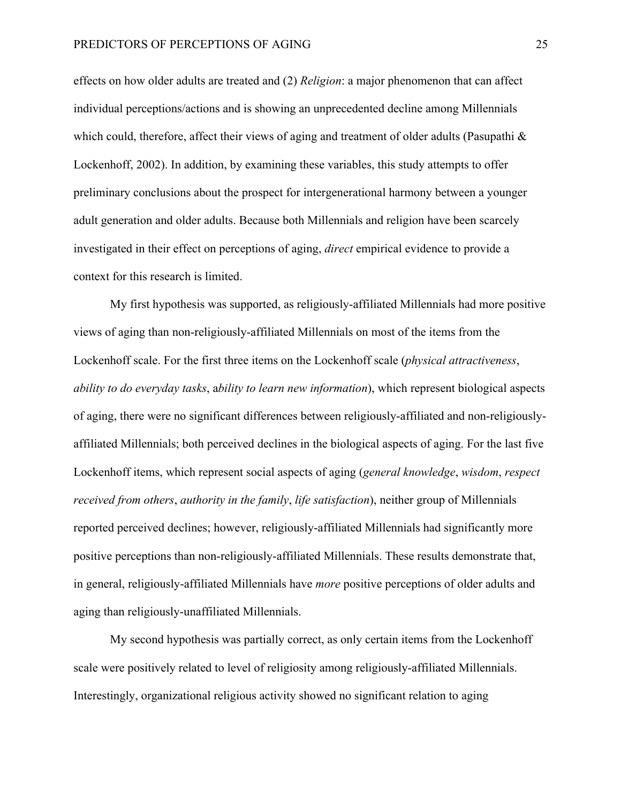effects on how older adults are treated and (2) *Religion*: a major phenomenon that can affect individual perceptions/actions and is showing an unprecedented decline among Millennials which could, therefore, affect their views of aging and treatment of older adults (Pasupathi  $\&$ Lockenhoff, 2002). In addition, by examining these variables, this study attempts to offer preliminary conclusions about the prospect for intergenerational harmony between a younger adult generation and older adults. Because both Millennials and religion have been scarcely investigated in their effect on perceptions of aging, *direct* empirical evidence to provide a context for this research is limited.

My first hypothesis was supported, as religiously-affiliated Millennials had more positive views of aging than non-religiously-affiliated Millennials on most of the items from the Lockenhoff scale. For the first three items on the Lockenhoff scale (*physical attractiveness*, *ability to do everyday tasks*, a*bility to learn new information*), which represent biological aspects of aging, there were no significant differences between religiously-affiliated and non-religiouslyaffiliated Millennials; both perceived declines in the biological aspects of aging. For the last five Lockenhoff items, which represent social aspects of aging (*general knowledge*, *wisdom*, *respect received from others*, *authority in the family*, *life satisfaction*), neither group of Millennials reported perceived declines; however, religiously-affiliated Millennials had significantly more positive perceptions than non-religiously-affiliated Millennials. These results demonstrate that, in general, religiously-affiliated Millennials have *more* positive perceptions of older adults and aging than religiously-unaffiliated Millennials.

My second hypothesis was partially correct, as only certain items from the Lockenhoff scale were positively related to level of religiosity among religiously-affiliated Millennials. Interestingly, organizational religious activity showed no significant relation to aging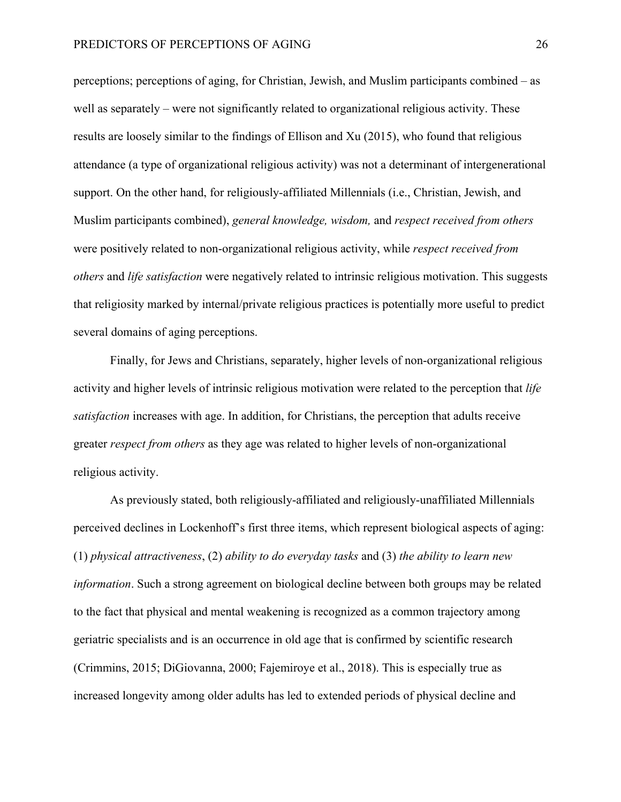perceptions; perceptions of aging, for Christian, Jewish, and Muslim participants combined – as well as separately – were not significantly related to organizational religious activity. These results are loosely similar to the findings of Ellison and Xu (2015), who found that religious attendance (a type of organizational religious activity) was not a determinant of intergenerational support. On the other hand, for religiously-affiliated Millennials (i.e., Christian, Jewish, and Muslim participants combined), *general knowledge, wisdom,* and *respect received from others* were positively related to non-organizational religious activity, while *respect received from others* and *life satisfaction* were negatively related to intrinsic religious motivation. This suggests that religiosity marked by internal/private religious practices is potentially more useful to predict several domains of aging perceptions.

Finally, for Jews and Christians, separately, higher levels of non-organizational religious activity and higher levels of intrinsic religious motivation were related to the perception that *life satisfaction* increases with age. In addition, for Christians, the perception that adults receive greater *respect from others* as they age was related to higher levels of non-organizational religious activity.

As previously stated, both religiously-affiliated and religiously-unaffiliated Millennials perceived declines in Lockenhoff's first three items, which represent biological aspects of aging: (1) *physical attractiveness*, (2) *ability to do everyday tasks* and (3) *the ability to learn new information*. Such a strong agreement on biological decline between both groups may be related to the fact that physical and mental weakening is recognized as a common trajectory among geriatric specialists and is an occurrence in old age that is confirmed by scientific research (Crimmins, 2015; DiGiovanna, 2000; Fajemiroye et al., 2018). This is especially true as increased longevity among older adults has led to extended periods of physical decline and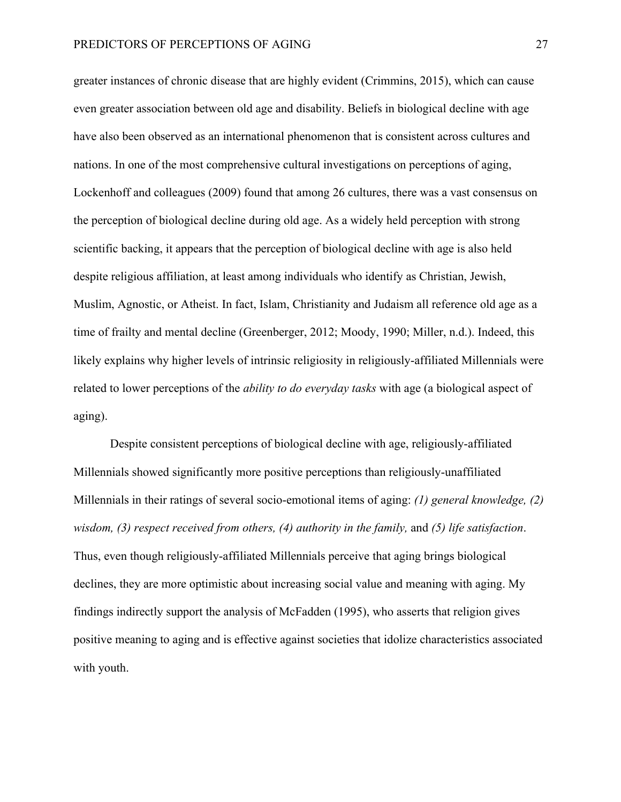greater instances of chronic disease that are highly evident (Crimmins, 2015), which can cause even greater association between old age and disability. Beliefs in biological decline with age have also been observed as an international phenomenon that is consistent across cultures and nations. In one of the most comprehensive cultural investigations on perceptions of aging, Lockenhoff and colleagues (2009) found that among 26 cultures, there was a vast consensus on the perception of biological decline during old age. As a widely held perception with strong scientific backing, it appears that the perception of biological decline with age is also held despite religious affiliation, at least among individuals who identify as Christian, Jewish, Muslim, Agnostic, or Atheist. In fact, Islam, Christianity and Judaism all reference old age as a time of frailty and mental decline (Greenberger, 2012; Moody, 1990; Miller, n.d.). Indeed, this likely explains why higher levels of intrinsic religiosity in religiously-affiliated Millennials were related to lower perceptions of the *ability to do everyday tasks* with age (a biological aspect of aging).

Despite consistent perceptions of biological decline with age, religiously-affiliated Millennials showed significantly more positive perceptions than religiously-unaffiliated Millennials in their ratings of several socio-emotional items of aging: *(1) general knowledge, (2) wisdom, (3) respect received from others, (4) authority in the family,* and *(5) life satisfaction*. Thus, even though religiously-affiliated Millennials perceive that aging brings biological declines, they are more optimistic about increasing social value and meaning with aging. My findings indirectly support the analysis of McFadden (1995), who asserts that religion gives positive meaning to aging and is effective against societies that idolize characteristics associated with youth.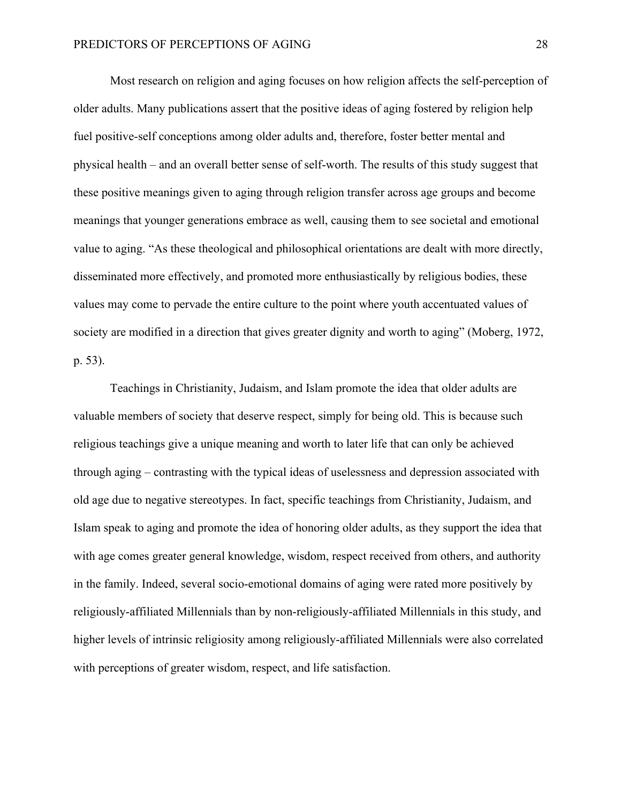Most research on religion and aging focuses on how religion affects the self-perception of older adults. Many publications assert that the positive ideas of aging fostered by religion help fuel positive-self conceptions among older adults and, therefore, foster better mental and physical health – and an overall better sense of self-worth. The results of this study suggest that these positive meanings given to aging through religion transfer across age groups and become meanings that younger generations embrace as well, causing them to see societal and emotional value to aging. "As these theological and philosophical orientations are dealt with more directly, disseminated more effectively, and promoted more enthusiastically by religious bodies, these values may come to pervade the entire culture to the point where youth accentuated values of society are modified in a direction that gives greater dignity and worth to aging" (Moberg, 1972, p. 53).

Teachings in Christianity, Judaism, and Islam promote the idea that older adults are valuable members of society that deserve respect, simply for being old. This is because such religious teachings give a unique meaning and worth to later life that can only be achieved through aging – contrasting with the typical ideas of uselessness and depression associated with old age due to negative stereotypes. In fact, specific teachings from Christianity, Judaism, and Islam speak to aging and promote the idea of honoring older adults, as they support the idea that with age comes greater general knowledge, wisdom, respect received from others, and authority in the family. Indeed, several socio-emotional domains of aging were rated more positively by religiously-affiliated Millennials than by non-religiously-affiliated Millennials in this study, and higher levels of intrinsic religiosity among religiously-affiliated Millennials were also correlated with perceptions of greater wisdom, respect, and life satisfaction.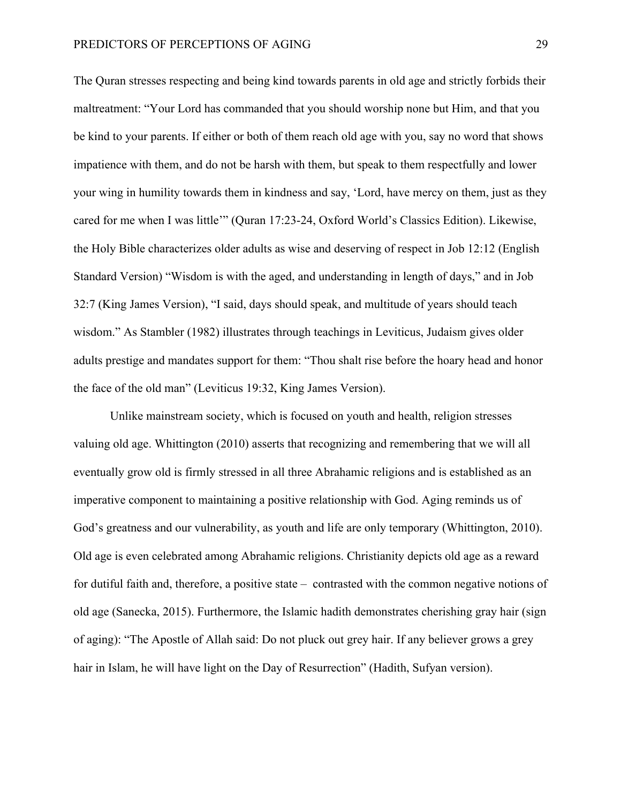The Quran stresses respecting and being kind towards parents in old age and strictly forbids their maltreatment: "Your Lord has commanded that you should worship none but Him, and that you be kind to your parents. If either or both of them reach old age with you, say no word that shows impatience with them, and do not be harsh with them, but speak to them respectfully and lower your wing in humility towards them in kindness and say, 'Lord, have mercy on them, just as they cared for me when I was little'" (Quran 17:23-24, Oxford World's Classics Edition). Likewise, the Holy Bible characterizes older adults as wise and deserving of respect in Job 12:12 (English Standard Version) "Wisdom is with the aged, and understanding in length of days," and in Job 32:7 (King James Version), "I said, days should speak, and multitude of years should teach wisdom." As Stambler (1982) illustrates through teachings in Leviticus, Judaism gives older adults prestige and mandates support for them: "Thou shalt rise before the hoary head and honor the face of the old man" (Leviticus 19:32, King James Version).

Unlike mainstream society, which is focused on youth and health, religion stresses valuing old age. Whittington (2010) asserts that recognizing and remembering that we will all eventually grow old is firmly stressed in all three Abrahamic religions and is established as an imperative component to maintaining a positive relationship with God. Aging reminds us of God's greatness and our vulnerability, as youth and life are only temporary (Whittington, 2010). Old age is even celebrated among Abrahamic religions. Christianity depicts old age as a reward for dutiful faith and, therefore, a positive state – contrasted with the common negative notions of old age (Sanecka, 2015). Furthermore, the Islamic hadith demonstrates cherishing gray hair (sign of aging): "The Apostle of Allah said: Do not pluck out grey hair. If any believer grows a grey hair in Islam, he will have light on the Day of Resurrection" (Hadith, Sufyan version).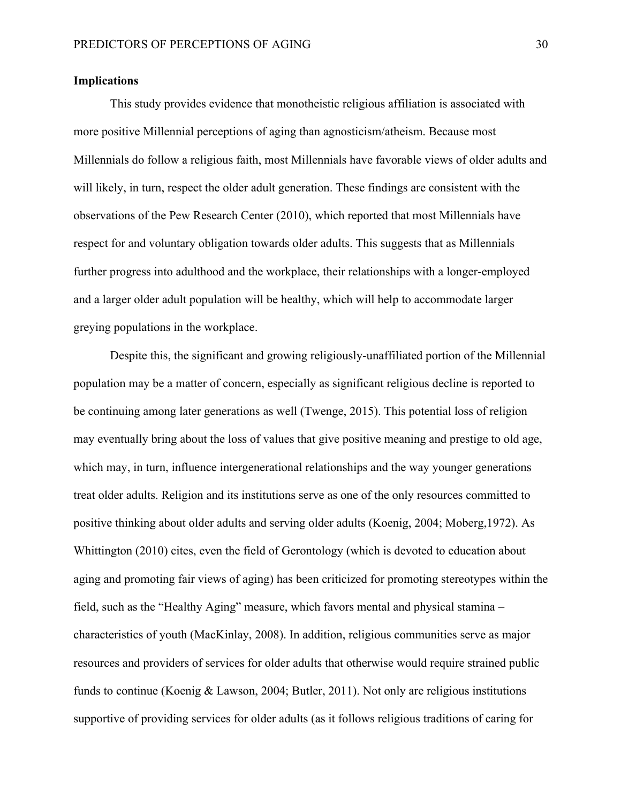# **Implications**

This study provides evidence that monotheistic religious affiliation is associated with more positive Millennial perceptions of aging than agnosticism/atheism. Because most Millennials do follow a religious faith, most Millennials have favorable views of older adults and will likely, in turn, respect the older adult generation. These findings are consistent with the observations of the Pew Research Center (2010), which reported that most Millennials have respect for and voluntary obligation towards older adults. This suggests that as Millennials further progress into adulthood and the workplace, their relationships with a longer-employed and a larger older adult population will be healthy, which will help to accommodate larger greying populations in the workplace.

Despite this, the significant and growing religiously-unaffiliated portion of the Millennial population may be a matter of concern, especially as significant religious decline is reported to be continuing among later generations as well (Twenge, 2015). This potential loss of religion may eventually bring about the loss of values that give positive meaning and prestige to old age, which may, in turn, influence intergenerational relationships and the way younger generations treat older adults. Religion and its institutions serve as one of the only resources committed to positive thinking about older adults and serving older adults (Koenig, 2004; Moberg,1972). As Whittington (2010) cites, even the field of Gerontology (which is devoted to education about aging and promoting fair views of aging) has been criticized for promoting stereotypes within the field, such as the "Healthy Aging" measure, which favors mental and physical stamina – characteristics of youth (MacKinlay, 2008). In addition, religious communities serve as major resources and providers of services for older adults that otherwise would require strained public funds to continue (Koenig & Lawson, 2004; Butler, 2011). Not only are religious institutions supportive of providing services for older adults (as it follows religious traditions of caring for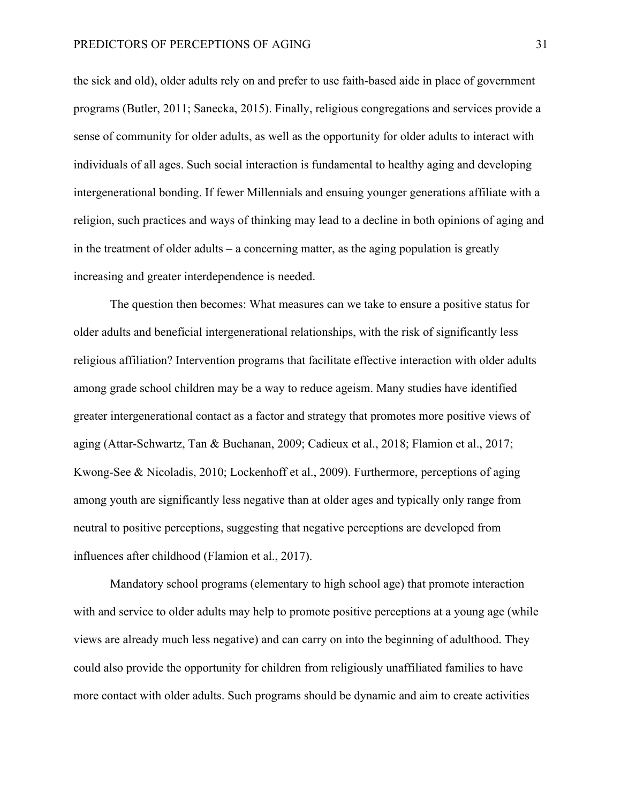the sick and old), older adults rely on and prefer to use faith-based aide in place of government programs (Butler, 2011; Sanecka, 2015). Finally, religious congregations and services provide a sense of community for older adults, as well as the opportunity for older adults to interact with individuals of all ages. Such social interaction is fundamental to healthy aging and developing intergenerational bonding. If fewer Millennials and ensuing younger generations affiliate with a religion, such practices and ways of thinking may lead to a decline in both opinions of aging and in the treatment of older adults – a concerning matter, as the aging population is greatly increasing and greater interdependence is needed.

The question then becomes: What measures can we take to ensure a positive status for older adults and beneficial intergenerational relationships, with the risk of significantly less religious affiliation? Intervention programs that facilitate effective interaction with older adults among grade school children may be a way to reduce ageism. Many studies have identified greater intergenerational contact as a factor and strategy that promotes more positive views of aging (Attar-Schwartz, Tan & Buchanan, 2009; Cadieux et al., 2018; Flamion et al., 2017; Kwong-See & Nicoladis, 2010; Lockenhoff et al., 2009). Furthermore, perceptions of aging among youth are significantly less negative than at older ages and typically only range from neutral to positive perceptions, suggesting that negative perceptions are developed from influences after childhood (Flamion et al., 2017).

Mandatory school programs (elementary to high school age) that promote interaction with and service to older adults may help to promote positive perceptions at a young age (while views are already much less negative) and can carry on into the beginning of adulthood. They could also provide the opportunity for children from religiously unaffiliated families to have more contact with older adults. Such programs should be dynamic and aim to create activities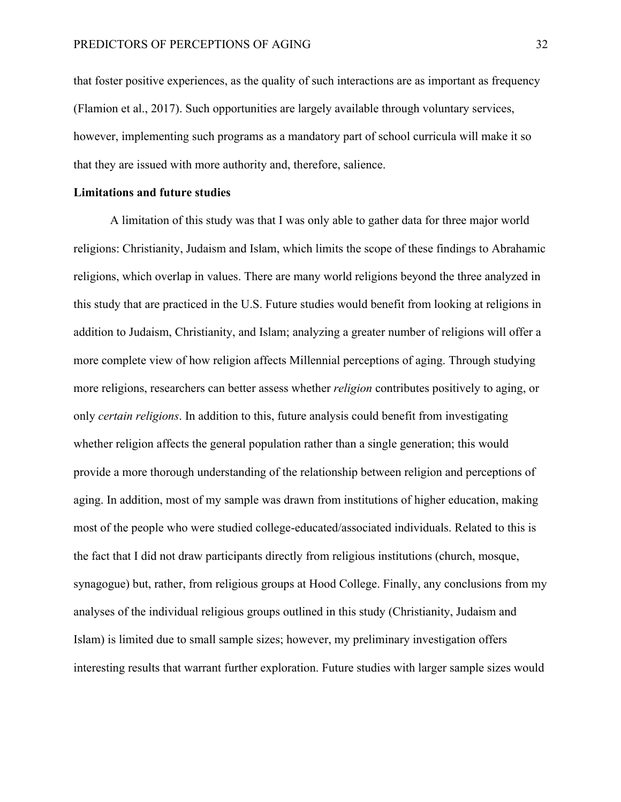that foster positive experiences, as the quality of such interactions are as important as frequency (Flamion et al., 2017). Such opportunities are largely available through voluntary services, however, implementing such programs as a mandatory part of school curricula will make it so that they are issued with more authority and, therefore, salience.

## **Limitations and future studies**

A limitation of this study was that I was only able to gather data for three major world religions: Christianity, Judaism and Islam, which limits the scope of these findings to Abrahamic religions, which overlap in values. There are many world religions beyond the three analyzed in this study that are practiced in the U.S. Future studies would benefit from looking at religions in addition to Judaism, Christianity, and Islam; analyzing a greater number of religions will offer a more complete view of how religion affects Millennial perceptions of aging. Through studying more religions, researchers can better assess whether *religion* contributes positively to aging, or only *certain religions*. In addition to this, future analysis could benefit from investigating whether religion affects the general population rather than a single generation; this would provide a more thorough understanding of the relationship between religion and perceptions of aging. In addition, most of my sample was drawn from institutions of higher education, making most of the people who were studied college-educated/associated individuals. Related to this is the fact that I did not draw participants directly from religious institutions (church, mosque, synagogue) but, rather, from religious groups at Hood College. Finally, any conclusions from my analyses of the individual religious groups outlined in this study (Christianity, Judaism and Islam) is limited due to small sample sizes; however, my preliminary investigation offers interesting results that warrant further exploration. Future studies with larger sample sizes would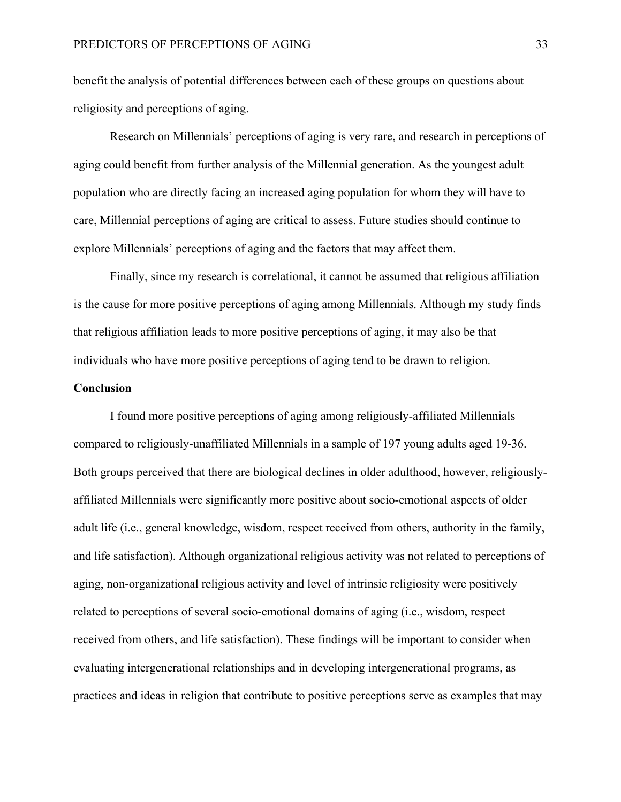benefit the analysis of potential differences between each of these groups on questions about religiosity and perceptions of aging.

Research on Millennials' perceptions of aging is very rare, and research in perceptions of aging could benefit from further analysis of the Millennial generation. As the youngest adult population who are directly facing an increased aging population for whom they will have to care, Millennial perceptions of aging are critical to assess. Future studies should continue to explore Millennials' perceptions of aging and the factors that may affect them.

Finally, since my research is correlational, it cannot be assumed that religious affiliation is the cause for more positive perceptions of aging among Millennials. Although my study finds that religious affiliation leads to more positive perceptions of aging, it may also be that individuals who have more positive perceptions of aging tend to be drawn to religion.

#### **Conclusion**

I found more positive perceptions of aging among religiously-affiliated Millennials compared to religiously-unaffiliated Millennials in a sample of 197 young adults aged 19-36. Both groups perceived that there are biological declines in older adulthood, however, religiouslyaffiliated Millennials were significantly more positive about socio-emotional aspects of older adult life (i.e., general knowledge, wisdom, respect received from others, authority in the family, and life satisfaction). Although organizational religious activity was not related to perceptions of aging, non-organizational religious activity and level of intrinsic religiosity were positively related to perceptions of several socio-emotional domains of aging (i.e., wisdom, respect received from others, and life satisfaction). These findings will be important to consider when evaluating intergenerational relationships and in developing intergenerational programs, as practices and ideas in religion that contribute to positive perceptions serve as examples that may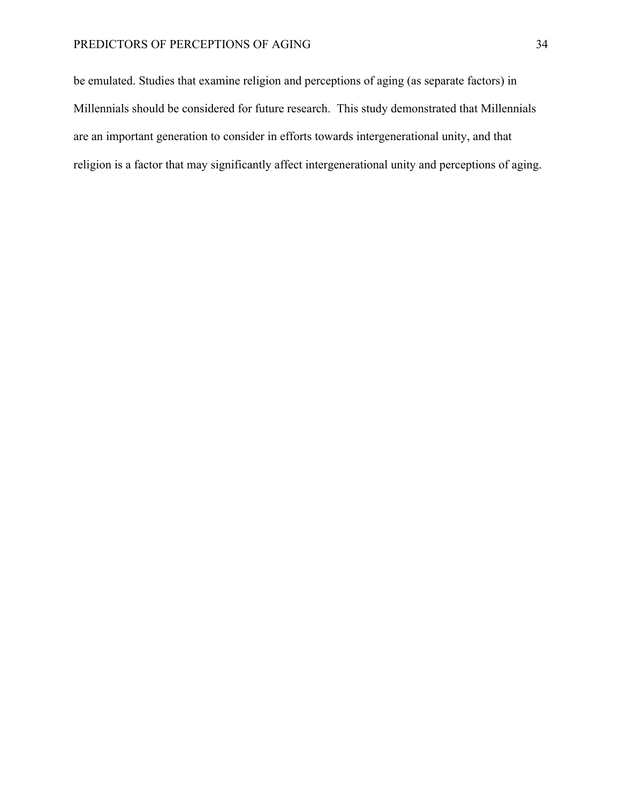# PREDICTORS OF PERCEPTIONS OF AGING 34

be emulated. Studies that examine religion and perceptions of aging (as separate factors) in Millennials should be considered for future research. This study demonstrated that Millennials are an important generation to consider in efforts towards intergenerational unity, and that religion is a factor that may significantly affect intergenerational unity and perceptions of aging.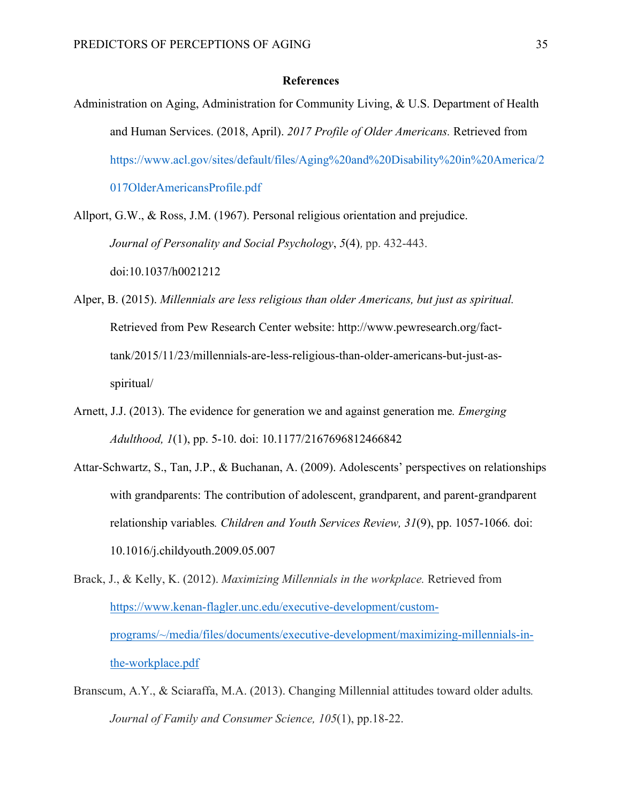#### **References**

- Administration on Aging, Administration for Community Living, & U.S. Department of Health and Human Services. (2018, April). *2017 Profile of Older Americans.* Retrieved from https://www.acl.gov/sites/default/files/Aging%20and%20Disability%20in%20America/2 017OlderAmericansProfile.pdf
- Allport, G.W., & Ross, J.M. (1967). Personal religious orientation and prejudice. *Journal of Personality and Social Psychology*, *5*(4)*,* pp. 432-443. doi:10.1037/h0021212
- Alper, B. (2015). *Millennials are less religious than older Americans, but just as spiritual.*  Retrieved from Pew Research Center website: http://www.pewresearch.org/facttank/2015/11/23/millennials-are-less-religious-than-older-americans-but-just-asspiritual/
- Arnett, J.J. (2013). The evidence for generation we and against generation me*. Emerging Adulthood, 1*(1), pp. 5-10. doi: 10.1177/2167696812466842
- Attar-Schwartz, S., Tan, J.P., & Buchanan, A. (2009). Adolescents' perspectives on relationships with grandparents: The contribution of adolescent, grandparent, and parent-grandparent relationship variables*. Children and Youth Services Review, 31*(9), pp. 1057-1066*.* doi: 10.1016/j.childyouth.2009.05.007
- Brack, J., & Kelly, K. (2012). *Maximizing Millennials in the workplace.* Retrieved from https://www.kenan-flagler.unc.edu/executive-development/customprograms/~/media/files/documents/executive-development/maximizing-millennials-inthe-workplace.pdf
- Branscum, A.Y., & Sciaraffa, M.A. (2013). Changing Millennial attitudes toward older adults*. Journal of Family and Consumer Science, 105*(1), pp.18-22.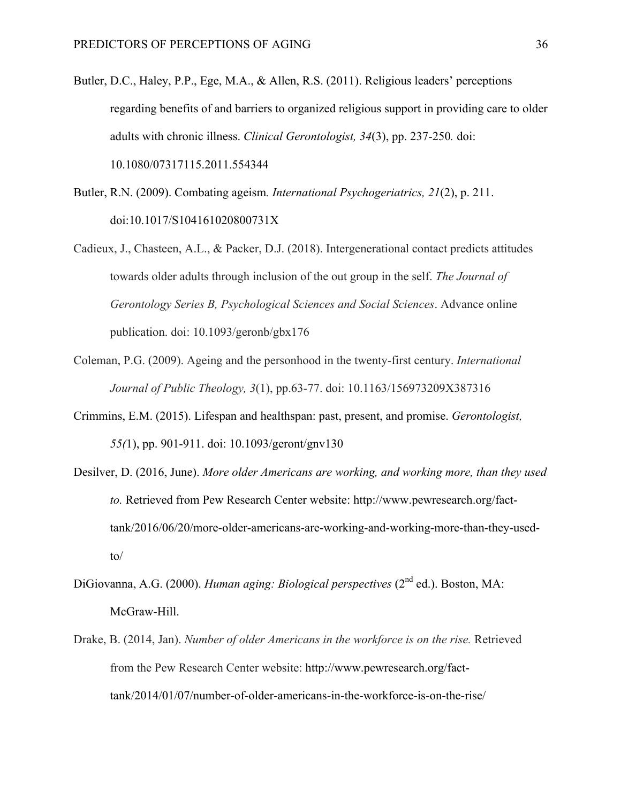- Butler, D.C., Haley, P.P., Ege, M.A., & Allen, R.S. (2011). Religious leaders' perceptions regarding benefits of and barriers to organized religious support in providing care to older adults with chronic illness. *Clinical Gerontologist, 34*(3), pp. 237-250*.* doi: 10.1080/07317115.2011.554344
- Butler, R.N. (2009). Combating ageism*. International Psychogeriatrics, 21*(2), p. 211. doi:10.1017/S104161020800731X
- Cadieux, J., Chasteen, A.L., & Packer, D.J. (2018). Intergenerational contact predicts attitudes towards older adults through inclusion of the out group in the self. *The Journal of Gerontology Series B, Psychological Sciences and Social Sciences*. Advance online publication. doi: 10.1093/geronb/gbx176
- Coleman, P.G. (2009). Ageing and the personhood in the twenty-first century. *International Journal of Public Theology, 3*(1), pp.63-77. doi: 10.1163/156973209X387316
- Crimmins, E.M. (2015). Lifespan and healthspan: past, present, and promise. *Gerontologist, 55(*1), pp. 901-911. doi: 10.1093/geront/gnv130
- Desilver, D. (2016, June). *More older Americans are working, and working more, than they used to.* Retrieved from Pew Research Center website: http://www.pewresearch.org/facttank/2016/06/20/more-older-americans-are-working-and-working-more-than-they-usedto/
- DiGiovanna, A.G. (2000). *Human aging: Biological perspectives* (2nd ed.). Boston, MA: McGraw-Hill.
- Drake, B. (2014, Jan). *Number of older Americans in the workforce is on the rise.* Retrieved from the Pew Research Center website: http://www.pewresearch.org/facttank/2014/01/07/number-of-older-americans-in-the-workforce-is-on-the-rise/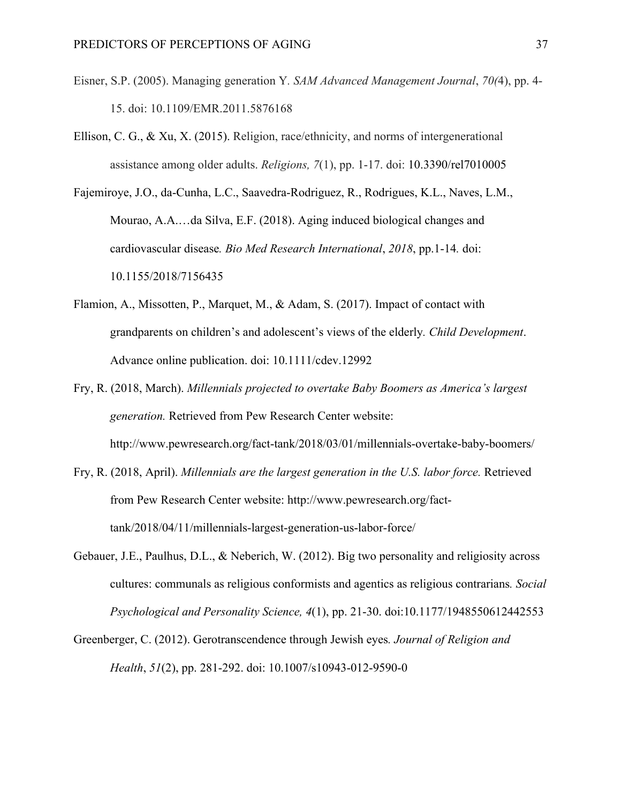- Eisner, S.P. (2005). Managing generation Y*. SAM Advanced Management Journal*, *70(*4), pp. 4- 15. doi: 10.1109/EMR.2011.5876168
- Ellison, C. G., & Xu, X. (2015). Religion, race/ethnicity, and norms of intergenerational assistance among older adults. *Religions, 7*(1), pp. 1-17. doi: 10.3390/rel7010005
- Fajemiroye, J.O., da-Cunha, L.C., Saavedra-Rodriguez, R., Rodrigues, K.L., Naves, L.M., Mourao, A.A.…da Silva, E.F. (2018). Aging induced biological changes and cardiovascular disease*. Bio Med Research International*, *2018*, pp.1-14*.* doi: 10.1155/2018/7156435
- Flamion, A., Missotten, P., Marquet, M., & Adam, S. (2017). Impact of contact with grandparents on children's and adolescent's views of the elderly*. Child Development*. Advance online publication. doi: 10.1111/cdev.12992
- Fry, R. (2018, March). *Millennials projected to overtake Baby Boomers as America's largest generation.* Retrieved from Pew Research Center website: http://www.pewresearch.org/fact-tank/2018/03/01/millennials-overtake-baby-boomers/
- Fry, R. (2018, April). *Millennials are the largest generation in the U.S. labor force.* Retrieved from Pew Research Center website: http://www.pewresearch.org/facttank/2018/04/11/millennials-largest-generation-us-labor-force/
- Gebauer, J.E., Paulhus, D.L., & Neberich, W. (2012). Big two personality and religiosity across cultures: communals as religious conformists and agentics as religious contrarians*. Social Psychological and Personality Science, 4*(1), pp. 21-30. doi:10.1177/1948550612442553
- Greenberger, C. (2012). Gerotranscendence through Jewish eyes*. Journal of Religion and Health*, *51*(2), pp. 281-292. doi: 10.1007/s10943-012-9590-0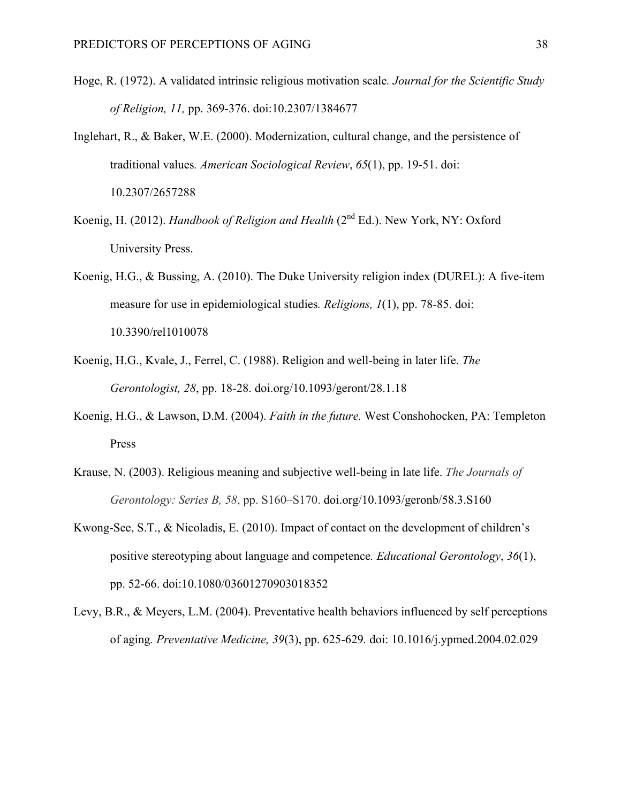- Hoge, R. (1972). A validated intrinsic religious motivation scale*. Journal for the Scientific Study of Religion, 11,* pp. 369-376. doi:10.2307/1384677
- Inglehart, R., & Baker, W.E. (2000). Modernization, cultural change, and the persistence of traditional values*. American Sociological Review*, *65*(1), pp. 19-51. doi: 10.2307/2657288
- Koenig, H. (2012). *Handbook of Religion and Health* (2nd Ed.). New York, NY: Oxford University Press.
- Koenig, H.G., & Bussing, A. (2010). The Duke University religion index (DUREL): A five-item measure for use in epidemiological studies*. Religions, 1*(1), pp. 78-85. doi: 10.3390/rel1010078
- Koenig, H.G., Kvale, J., Ferrel, C. (1988). Religion and well-being in later life. *The Gerontologist, 28*, pp. 18-28. doi.org/10.1093/geront/28.1.18
- Koenig, H.G., & Lawson, D.M. (2004). *Faith in the future.* West Conshohocken, PA: Templeton Press
- Krause, N. (2003). Religious meaning and subjective well-being in late life. *The Journals of Gerontology: Series B, 58*, pp. S160–S170. doi.org/10.1093/geronb/58.3.S160
- Kwong-See, S.T., & Nicoladis, E. (2010). Impact of contact on the development of children's positive stereotyping about language and competence*. Educational Gerontology*, *36*(1), pp. 52-66. doi:10.1080/03601270903018352
- Levy, B.R., & Meyers, L.M. (2004). Preventative health behaviors influenced by self perceptions of aging*. Preventative Medicine, 39*(3), pp. 625-629*.* doi: 10.1016/j.ypmed.2004.02.029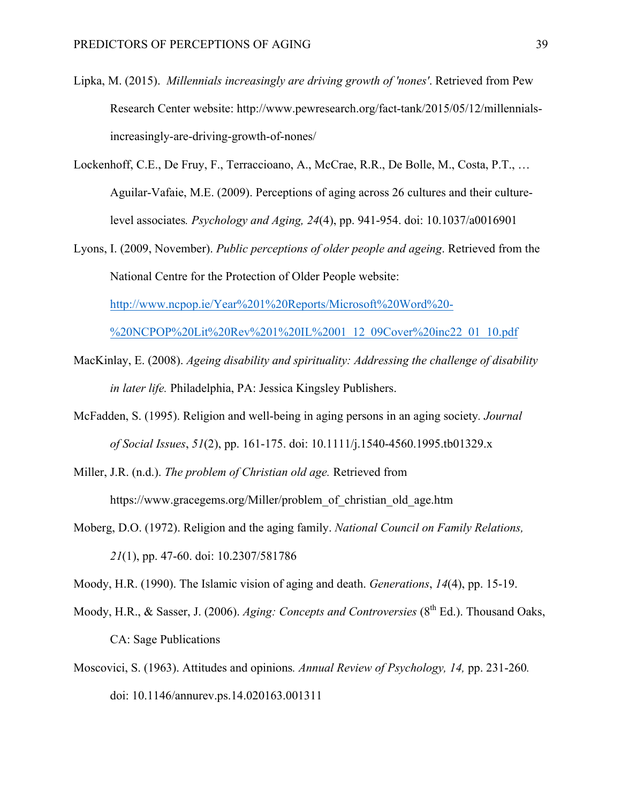- Lipka, M. (2015). *Millennials increasingly are driving growth of 'nones'*. Retrieved from Pew Research Center website: http://www.pewresearch.org/fact-tank/2015/05/12/millennialsincreasingly-are-driving-growth-of-nones/
- Lockenhoff, C.E., De Fruy, F., Terraccioano, A., McCrae, R.R., De Bolle, M., Costa, P.T., … Aguilar-Vafaie, M.E. (2009). Perceptions of aging across 26 cultures and their culturelevel associates*. Psychology and Aging, 24*(4), pp. 941-954. doi: 10.1037/a0016901
- Lyons, I. (2009, November). *Public perceptions of older people and ageing*. Retrieved from the National Centre for the Protection of Older People website:

http://www.ncpop.ie/Year%201%20Reports/Microsoft%20Word%20-

%20NCPOP%20Lit%20Rev%201%20IL%2001\_12\_09Cover%20inc22\_01\_10.pdf

- MacKinlay, E. (2008). *Ageing disability and spirituality: Addressing the challenge of disability in later life.* Philadelphia, PA: Jessica Kingsley Publishers.
- McFadden, S. (1995). Religion and well-being in aging persons in an aging society*. Journal of Social Issues*, *51*(2), pp. 161-175. doi: 10.1111/j.1540-4560.1995.tb01329.x
- Miller, J.R. (n.d.). *The problem of Christian old age.* Retrieved from https://www.gracegems.org/Miller/problem\_of\_christian\_old\_age.htm
- Moberg, D.O. (1972). Religion and the aging family. *National Council on Family Relations, 21*(1), pp. 47-60. doi: 10.2307/581786

Moody, H.R. (1990). The Islamic vision of aging and death. *Generations*, *14*(4), pp. 15-19.

- Moody, H.R., & Sasser, J. (2006). *Aging: Concepts and Controversies* (8<sup>th</sup> Ed.). Thousand Oaks, CA: Sage Publications
- Moscovici, S. (1963). Attitudes and opinions*. Annual Review of Psychology, 14,* pp. 231-260*.*  doi: 10.1146/annurev.ps.14.020163.001311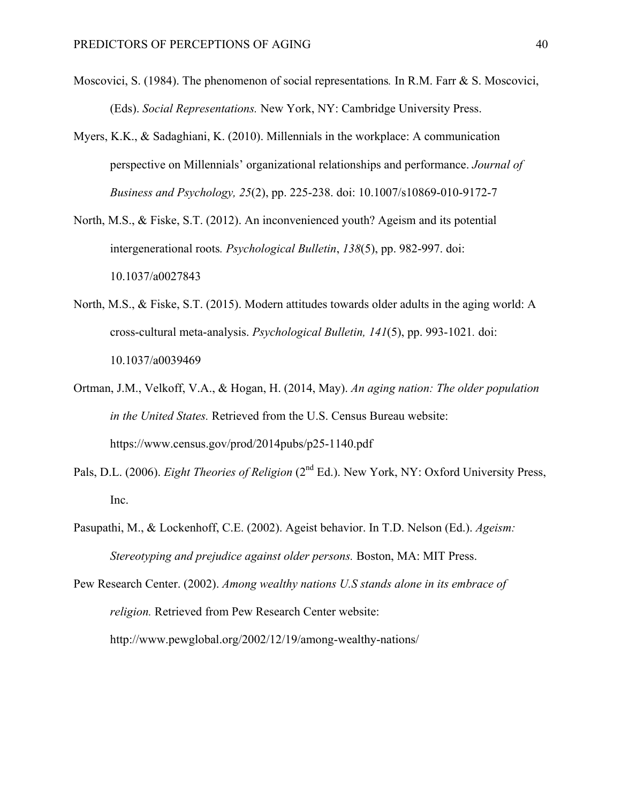- Moscovici, S. (1984). The phenomenon of social representations*.* In R.M. Farr & S. Moscovici, (Eds). *Social Representations.* New York, NY: Cambridge University Press.
- Myers, K.K., & Sadaghiani, K. (2010). Millennials in the workplace: A communication perspective on Millennials' organizational relationships and performance. *Journal of Business and Psychology, 25*(2), pp. 225-238. doi: 10.1007/s10869-010-9172-7
- North, M.S., & Fiske, S.T. (2012). An inconvenienced youth? Ageism and its potential intergenerational roots*. Psychological Bulletin*, *138*(5), pp. 982-997. doi: 10.1037/a0027843
- North, M.S., & Fiske, S.T. (2015). Modern attitudes towards older adults in the aging world: A cross-cultural meta-analysis. *Psychological Bulletin, 141*(5), pp. 993-1021*.* doi: 10.1037/a0039469
- Ortman, J.M., Velkoff, V.A., & Hogan, H. (2014, May). *An aging nation: The older population in the United States.* Retrieved from the U.S. Census Bureau website: https://www.census.gov/prod/2014pubs/p25-1140.pdf
- Pals, D.L. (2006). *Eight Theories of Religion* (2<sup>nd</sup> Ed.). New York, NY: Oxford University Press, Inc.
- Pasupathi, M., & Lockenhoff, C.E. (2002). Ageist behavior. In T.D. Nelson (Ed.). *Ageism: Stereotyping and prejudice against older persons.* Boston, MA: MIT Press.
- Pew Research Center. (2002). *Among wealthy nations U.S stands alone in its embrace of religion.* Retrieved from Pew Research Center website: http://www.pewglobal.org/2002/12/19/among-wealthy-nations/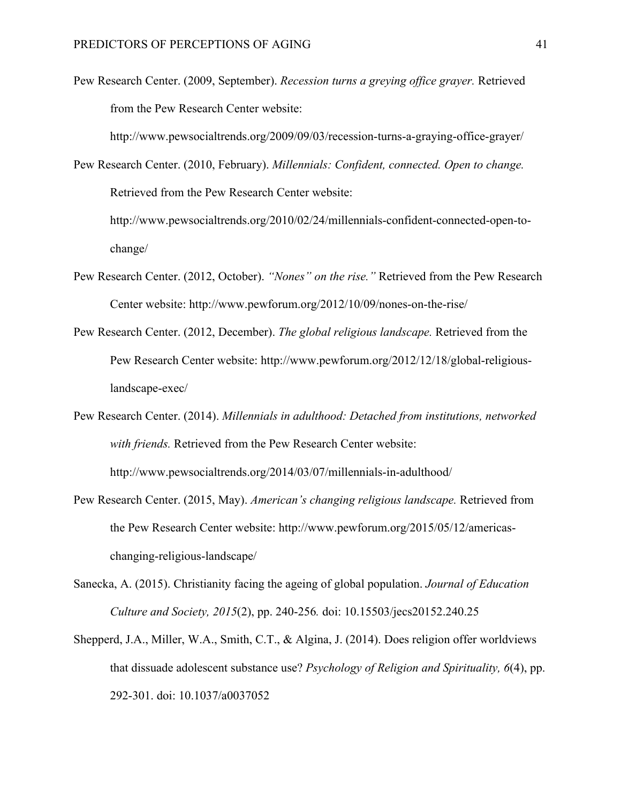Pew Research Center. (2009, September). *Recession turns a greying office grayer.* Retrieved from the Pew Research Center website:

http://www.pewsocialtrends.org/2009/09/03/recession-turns-a-graying-office-grayer/

Pew Research Center. (2010, February). *Millennials: Confident, connected. Open to change.* Retrieved from the Pew Research Center website: http://www.pewsocialtrends.org/2010/02/24/millennials-confident-connected-open-tochange/

- Pew Research Center. (2012, October). *"Nones" on the rise."* Retrieved from the Pew Research Center website: http://www.pewforum.org/2012/10/09/nones-on-the-rise/
- Pew Research Center. (2012, December). *The global religious landscape.* Retrieved from the Pew Research Center website: http://www.pewforum.org/2012/12/18/global-religiouslandscape-exec/
- Pew Research Center. (2014). *Millennials in adulthood: Detached from institutions, networked with friends.* Retrieved from the Pew Research Center website: http://www.pewsocialtrends.org/2014/03/07/millennials-in-adulthood/
- Pew Research Center. (2015, May). *American's changing religious landscape.* Retrieved from the Pew Research Center website: http://www.pewforum.org/2015/05/12/americaschanging-religious-landscape/
- Sanecka, A. (2015). Christianity facing the ageing of global population. *Journal of Education Culture and Society, 2015*(2), pp. 240-256*.* doi: 10.15503/jecs20152.240.25
- Shepperd, J.A., Miller, W.A., Smith, C.T., & Algina, J. (2014). Does religion offer worldviews that dissuade adolescent substance use? *Psychology of Religion and Spirituality, 6*(4), pp. 292-301. doi: 10.1037/a0037052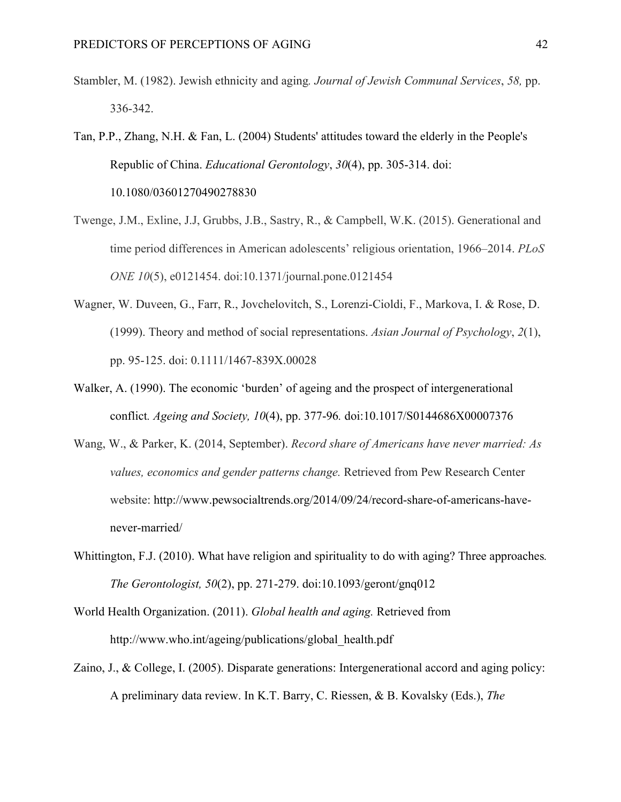- Stambler, M. (1982). Jewish ethnicity and aging*. Journal of Jewish Communal Services*, *58,* pp. 336-342.
- Tan, P.P., Zhang, N.H. & Fan, L. (2004) Students' attitudes toward the elderly in the People's Republic of China. *Educational Gerontology*, *30*(4), pp. 305-314. doi: 10.1080/03601270490278830
- Twenge, J.M., Exline, J.J, Grubbs, J.B., Sastry, R., & Campbell, W.K. (2015). Generational and time period differences in American adolescents' religious orientation, 1966–2014. *PLoS ONE 10*(5), e0121454. doi:10.1371/journal.pone.0121454
- Wagner, W. Duveen, G., Farr, R., Jovchelovitch, S., Lorenzi-Cioldi, F., Markova, I. & Rose, D. (1999). Theory and method of social representations. *Asian Journal of Psychology*, *2*(1), pp. 95-125. doi: 0.1111/1467-839X.00028
- Walker, A. (1990). The economic 'burden' of ageing and the prospect of intergenerational conflict*. Ageing and Society, 10*(4), pp. 377-96*.* doi:10.1017/S0144686X00007376
- Wang, W., & Parker, K. (2014, September). *Record share of Americans have never married: As values, economics and gender patterns change.* Retrieved from Pew Research Center website: http://www.pewsocialtrends.org/2014/09/24/record-share-of-americans-havenever-married/
- Whittington, F.J. (2010). What have religion and spirituality to do with aging? Three approaches*. The Gerontologist, 50*(2), pp. 271-279. doi:10.1093/geront/gnq012
- World Health Organization. (2011). *Global health and aging.* Retrieved from http://www.who.int/ageing/publications/global\_health.pdf
- Zaino, J., & College, I. (2005). Disparate generations: Intergenerational accord and aging policy: A preliminary data review. In K.T. Barry, C. Riessen, & B. Kovalsky (Eds.), *The*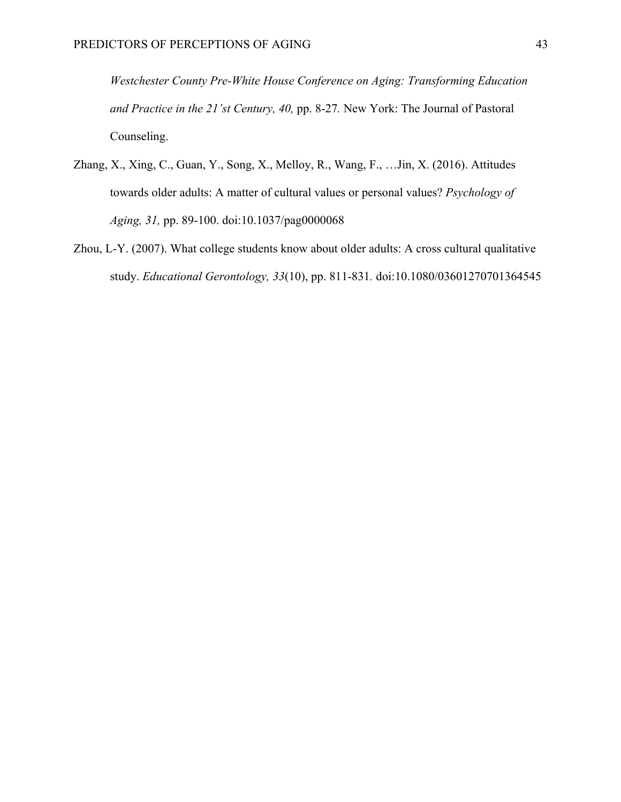*Westchester County Pre-White House Conference on Aging: Transforming Education and Practice in the 21'st Century, 40,* pp. 8-27*.* New York: The Journal of Pastoral Counseling.

- Zhang, X., Xing, C., Guan, Y., Song, X., Melloy, R., Wang, F., …Jin, X. (2016). Attitudes towards older adults: A matter of cultural values or personal values? *Psychology of Aging, 31,* pp. 89-100. doi:10.1037/pag0000068
- Zhou, L-Y. (2007). What college students know about older adults: A cross cultural qualitative study. *Educational Gerontology, 33*(10), pp. 811-831*.* doi:10.1080/03601270701364545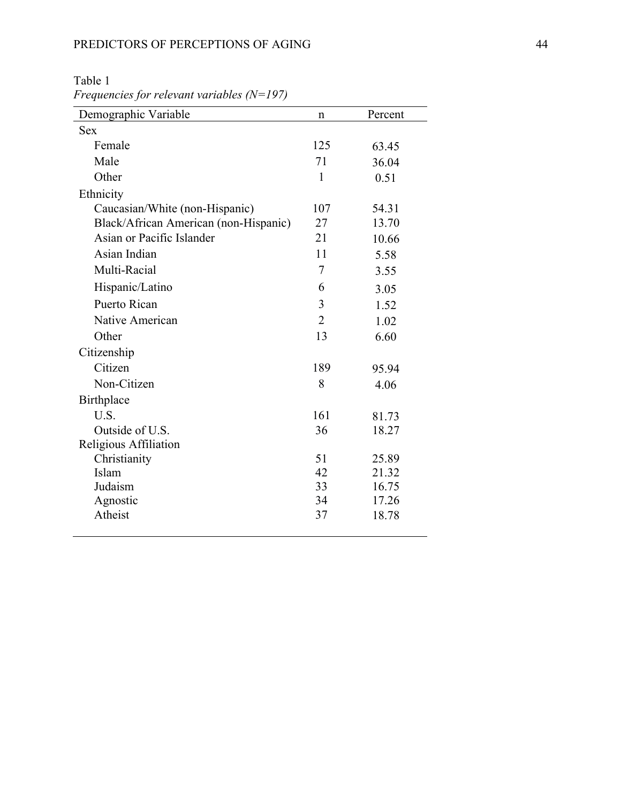| Demographic Variable                  | $\mathbf n$    | Percent |
|---------------------------------------|----------------|---------|
| <b>Sex</b>                            |                |         |
| Female                                | 125            | 63.45   |
| Male                                  | 71             | 36.04   |
| Other                                 | $\mathbf{1}$   | 0.51    |
| Ethnicity                             |                |         |
| Caucasian/White (non-Hispanic)        | 107            | 54.31   |
| Black/African American (non-Hispanic) | 27             | 13.70   |
| Asian or Pacific Islander             | 21             | 10.66   |
| Asian Indian                          | 11             | 5.58    |
| Multi-Racial                          | 7              | 3.55    |
| Hispanic/Latino                       | 6              | 3.05    |
| Puerto Rican                          | 3              | 1.52    |
| Native American                       | $\overline{2}$ | 1.02    |
| Other                                 | 13             | 6.60    |
| Citizenship                           |                |         |
| Citizen                               | 189            | 95.94   |
| Non-Citizen                           | 8              | 4.06    |
| Birthplace                            |                |         |
| U.S.                                  | 161            | 81.73   |
| Outside of U.S.                       | 36             | 18.27   |
| Religious Affiliation                 |                |         |
| Christianity                          | 51             | 25.89   |
| Islam                                 | 42             | 21.32   |
| Judaism                               | 33             | 16.75   |
| Agnostic                              | 34             | 17.26   |
| Atheist                               | 37             | 18.78   |
|                                       |                |         |

Table 1 *Frequencies for relevant variables (N=197)*

 $\overline{\phantom{a}}$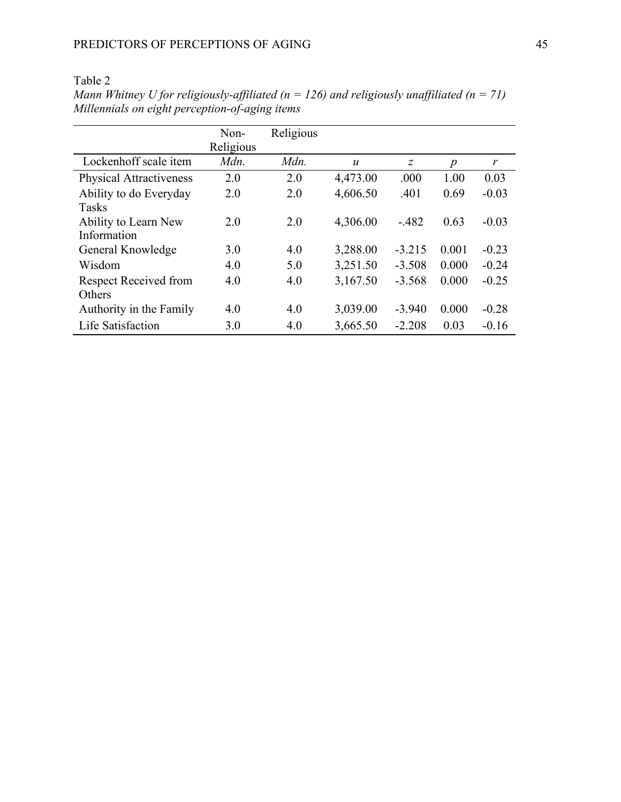|                                | Non-<br>Religious | Religious |                  |                |                  |         |
|--------------------------------|-------------------|-----------|------------------|----------------|------------------|---------|
| Lockenhoff scale item          | Mdn.              | Mdn.      | $\boldsymbol{u}$ | $\overline{z}$ | $\boldsymbol{p}$ | r       |
| <b>Physical Attractiveness</b> | 2.0               | 2.0       | 4,473.00         | .000           | 1.00             | 0.03    |
| Ability to do Everyday         | 2.0               | 2.0       | 4,606.50         | .401           | 0.69             | $-0.03$ |
| <b>Tasks</b>                   |                   |           |                  |                |                  |         |
| Ability to Learn New           | 2.0               | 2.0       | 4,306.00         | $-482$         | 0.63             | $-0.03$ |
| Information                    |                   |           |                  |                |                  |         |
| General Knowledge              | 3.0               | 4.0       | 3,288.00         | $-3.215$       | 0.001            | $-0.23$ |
| Wisdom                         | 4.0               | 5.0       | 3,251.50         | $-3.508$       | 0.000            | $-0.24$ |
| <b>Respect Received from</b>   | 4.0               | 4.0       | 3,167.50         | $-3.568$       | 0.000            | $-0.25$ |
| Others                         |                   |           |                  |                |                  |         |
| Authority in the Family        | 4.0               | 4.0       | 3,039.00         | $-3.940$       | 0.000            | $-0.28$ |
| Life Satisfaction              | 3.0               | 4.0       | 3,665.50         | $-2.208$       | 0.03             | $-0.16$ |

Table 2 *Mann Whitney U for religiously-affiliated (n = 126) and religiously unaffiliated (n = 71) Millennials on eight perception-of-aging items*